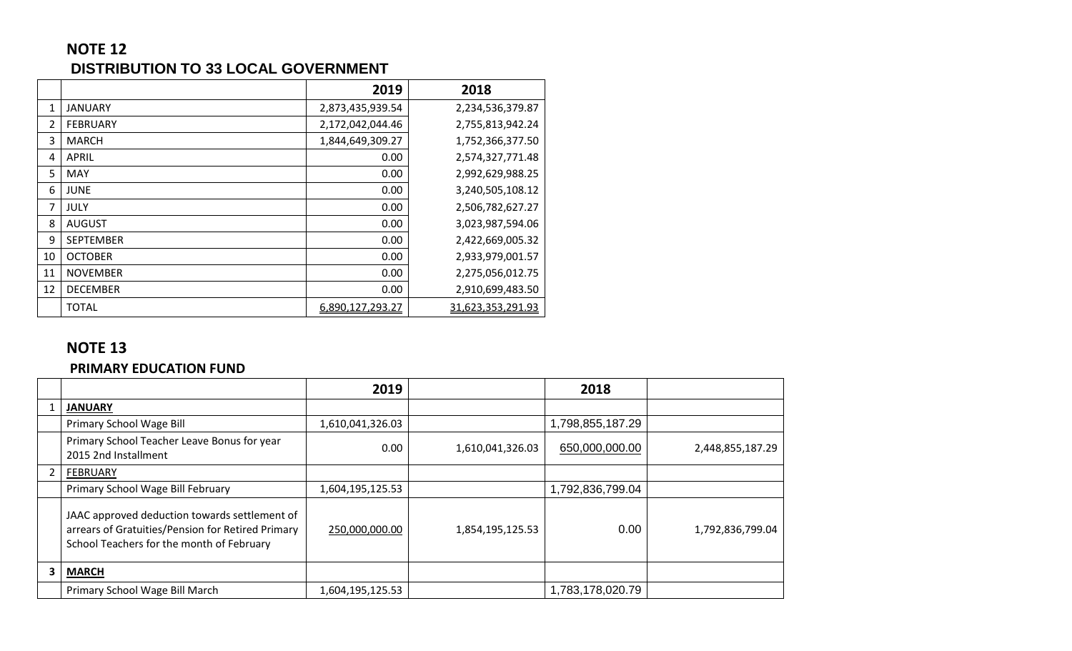## **NOTE 12 DISTRIBUTION TO 33 LOCAL GOVERNMENT**

|    |                  | 2019             | 2018              |
|----|------------------|------------------|-------------------|
| 1  | JANUARY          | 2,873,435,939.54 | 2,234,536,379.87  |
| 2  | <b>FEBRUARY</b>  | 2,172,042,044.46 | 2,755,813,942.24  |
| 3  | <b>MARCH</b>     | 1,844,649,309.27 | 1,752,366,377.50  |
| 4  | APRIL            | 0.00             | 2,574,327,771.48  |
| 5  | MAY              | 0.00             | 2,992,629,988.25  |
| 6  | <b>JUNE</b>      | 0.00             | 3,240,505,108.12  |
| 7  | <b>JULY</b>      | 0.00             | 2,506,782,627.27  |
| 8  | <b>AUGUST</b>    | 0.00             | 3,023,987,594.06  |
| 9  | <b>SEPTEMBER</b> | 0.00             | 2,422,669,005.32  |
| 10 | <b>OCTOBER</b>   | 0.00             | 2,933,979,001.57  |
| 11 | <b>NOVEMBER</b>  | 0.00             | 2,275,056,012.75  |
| 12 | <b>DECEMBER</b>  | 0.00             | 2,910,699,483.50  |
|    | <b>TOTAL</b>     | 6,890,127,293.27 | 31,623,353,291.93 |

## **NOTE 13**

#### **PRIMARY EDUCATION FUND**

|   |                                                                                                                                                 | 2019             |                  | 2018             |                  |
|---|-------------------------------------------------------------------------------------------------------------------------------------------------|------------------|------------------|------------------|------------------|
|   | <b>JANUARY</b>                                                                                                                                  |                  |                  |                  |                  |
|   | Primary School Wage Bill                                                                                                                        | 1,610,041,326.03 |                  | 1,798,855,187.29 |                  |
|   | Primary School Teacher Leave Bonus for year<br>2015 2nd Installment                                                                             | 0.00             | 1,610,041,326.03 | 650,000,000.00   | 2,448,855,187.29 |
|   | <b>FEBRUARY</b>                                                                                                                                 |                  |                  |                  |                  |
|   | Primary School Wage Bill February                                                                                                               | 1,604,195,125.53 |                  | 1,792,836,799.04 |                  |
|   | JAAC approved deduction towards settlement of<br>arrears of Gratuities/Pension for Retired Primary<br>School Teachers for the month of February | 250,000,000.00   | 1,854,195,125.53 | 0.00             | 1,792,836,799.04 |
| 3 | <b>MARCH</b>                                                                                                                                    |                  |                  |                  |                  |
|   | Primary School Wage Bill March                                                                                                                  | 1,604,195,125.53 |                  | 1,783,178,020.79 |                  |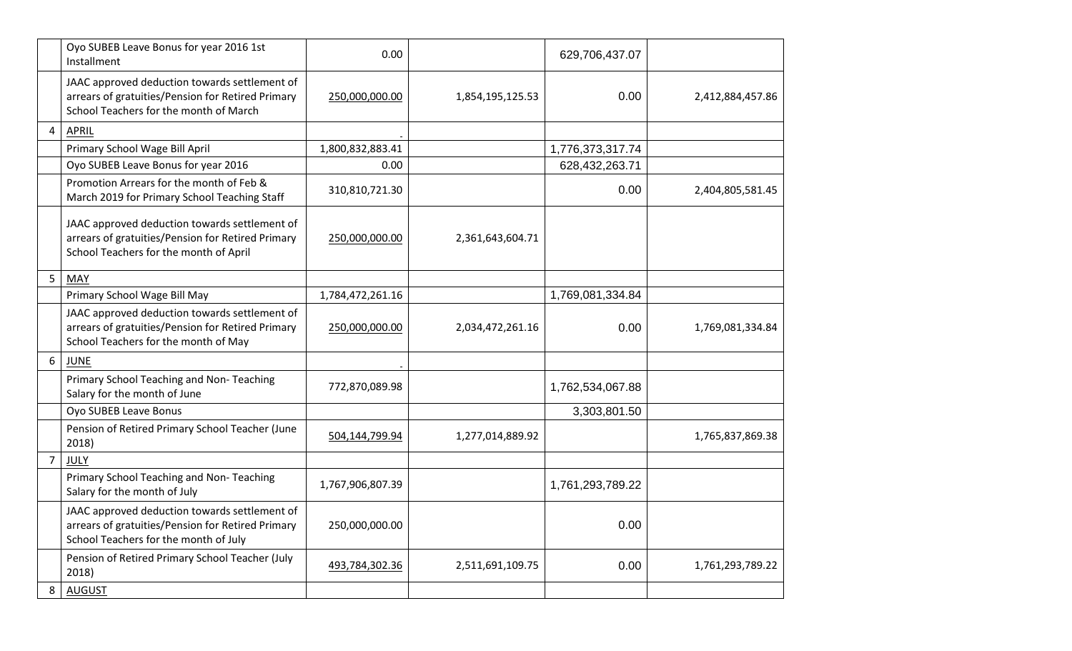|                | Oyo SUBEB Leave Bonus for year 2016 1st<br>Installment                                                                                       | 0.00             |                  | 629,706,437.07   |                  |
|----------------|----------------------------------------------------------------------------------------------------------------------------------------------|------------------|------------------|------------------|------------------|
|                | JAAC approved deduction towards settlement of<br>arrears of gratuities/Pension for Retired Primary<br>School Teachers for the month of March | 250,000,000.00   | 1,854,195,125.53 | 0.00             | 2,412,884,457.86 |
| 4              | <b>APRIL</b>                                                                                                                                 |                  |                  |                  |                  |
|                | Primary School Wage Bill April                                                                                                               | 1,800,832,883.41 |                  | 1,776,373,317.74 |                  |
|                | Oyo SUBEB Leave Bonus for year 2016                                                                                                          | 0.00             |                  | 628,432,263.71   |                  |
|                | Promotion Arrears for the month of Feb &<br>March 2019 for Primary School Teaching Staff                                                     | 310,810,721.30   |                  | 0.00             | 2,404,805,581.45 |
|                | JAAC approved deduction towards settlement of<br>arrears of gratuities/Pension for Retired Primary<br>School Teachers for the month of April | 250,000,000.00   | 2,361,643,604.71 |                  |                  |
| 5              | <b>MAY</b>                                                                                                                                   |                  |                  |                  |                  |
|                | Primary School Wage Bill May                                                                                                                 | 1,784,472,261.16 |                  | 1,769,081,334.84 |                  |
|                | JAAC approved deduction towards settlement of<br>arrears of gratuities/Pension for Retired Primary<br>School Teachers for the month of May   | 250,000,000.00   | 2,034,472,261.16 | 0.00             | 1,769,081,334.84 |
| 6              | <b>JUNE</b>                                                                                                                                  |                  |                  |                  |                  |
|                | Primary School Teaching and Non-Teaching<br>Salary for the month of June                                                                     | 772,870,089.98   |                  | 1,762,534,067.88 |                  |
|                | Oyo SUBEB Leave Bonus                                                                                                                        |                  |                  | 3,303,801.50     |                  |
|                | Pension of Retired Primary School Teacher (June<br>2018)                                                                                     | 504,144,799.94   | 1,277,014,889.92 |                  | 1,765,837,869.38 |
| $\overline{7}$ | JULY                                                                                                                                         |                  |                  |                  |                  |
|                | Primary School Teaching and Non- Teaching<br>Salary for the month of July                                                                    | 1,767,906,807.39 |                  | 1,761,293,789.22 |                  |
|                | JAAC approved deduction towards settlement of<br>arrears of gratuities/Pension for Retired Primary<br>School Teachers for the month of July  | 250,000,000.00   |                  | 0.00             |                  |
|                | Pension of Retired Primary School Teacher (July<br>2018)                                                                                     | 493,784,302.36   | 2,511,691,109.75 | 0.00             | 1,761,293,789.22 |
| 8              | <b>AUGUST</b>                                                                                                                                |                  |                  |                  |                  |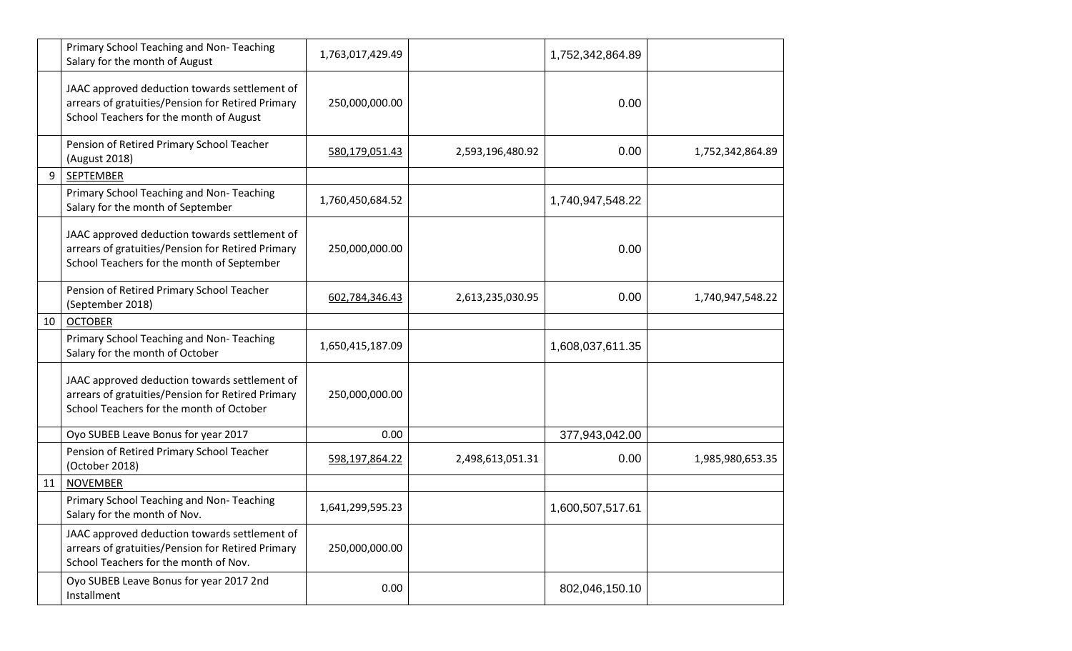|    | Primary School Teaching and Non-Teaching<br>Salary for the month of August                                                                       | 1,763,017,429.49 |                  | 1,752,342,864.89 |                  |
|----|--------------------------------------------------------------------------------------------------------------------------------------------------|------------------|------------------|------------------|------------------|
|    | JAAC approved deduction towards settlement of<br>arrears of gratuities/Pension for Retired Primary<br>School Teachers for the month of August    | 250,000,000.00   |                  | 0.00             |                  |
|    | Pension of Retired Primary School Teacher<br>(August 2018)                                                                                       | 580,179,051.43   | 2,593,196,480.92 | 0.00             | 1,752,342,864.89 |
| 9  | SEPTEMBER                                                                                                                                        |                  |                  |                  |                  |
|    | Primary School Teaching and Non-Teaching<br>Salary for the month of September                                                                    | 1,760,450,684.52 |                  | 1,740,947,548.22 |                  |
|    | JAAC approved deduction towards settlement of<br>arrears of gratuities/Pension for Retired Primary<br>School Teachers for the month of September | 250,000,000.00   |                  | 0.00             |                  |
|    | Pension of Retired Primary School Teacher<br>(September 2018)                                                                                    | 602,784,346.43   | 2,613,235,030.95 | 0.00             | 1,740,947,548.22 |
| 10 | <b>OCTOBER</b>                                                                                                                                   |                  |                  |                  |                  |
|    | Primary School Teaching and Non-Teaching<br>Salary for the month of October                                                                      | 1,650,415,187.09 |                  | 1,608,037,611.35 |                  |
|    | JAAC approved deduction towards settlement of<br>arrears of gratuities/Pension for Retired Primary<br>School Teachers for the month of October   | 250,000,000.00   |                  |                  |                  |
|    | Oyo SUBEB Leave Bonus for year 2017                                                                                                              | 0.00             |                  | 377,943,042.00   |                  |
|    | Pension of Retired Primary School Teacher<br>(October 2018)                                                                                      | 598,197,864.22   | 2,498,613,051.31 | 0.00             | 1,985,980,653.35 |
| 11 | <b>NOVEMBER</b>                                                                                                                                  |                  |                  |                  |                  |
|    | Primary School Teaching and Non-Teaching<br>Salary for the month of Nov.                                                                         | 1,641,299,595.23 |                  | 1,600,507,517.61 |                  |
|    | JAAC approved deduction towards settlement of<br>arrears of gratuities/Pension for Retired Primary<br>School Teachers for the month of Nov.      | 250,000,000.00   |                  |                  |                  |
|    | Oyo SUBEB Leave Bonus for year 2017 2nd<br>Installment                                                                                           | 0.00             |                  | 802,046,150.10   |                  |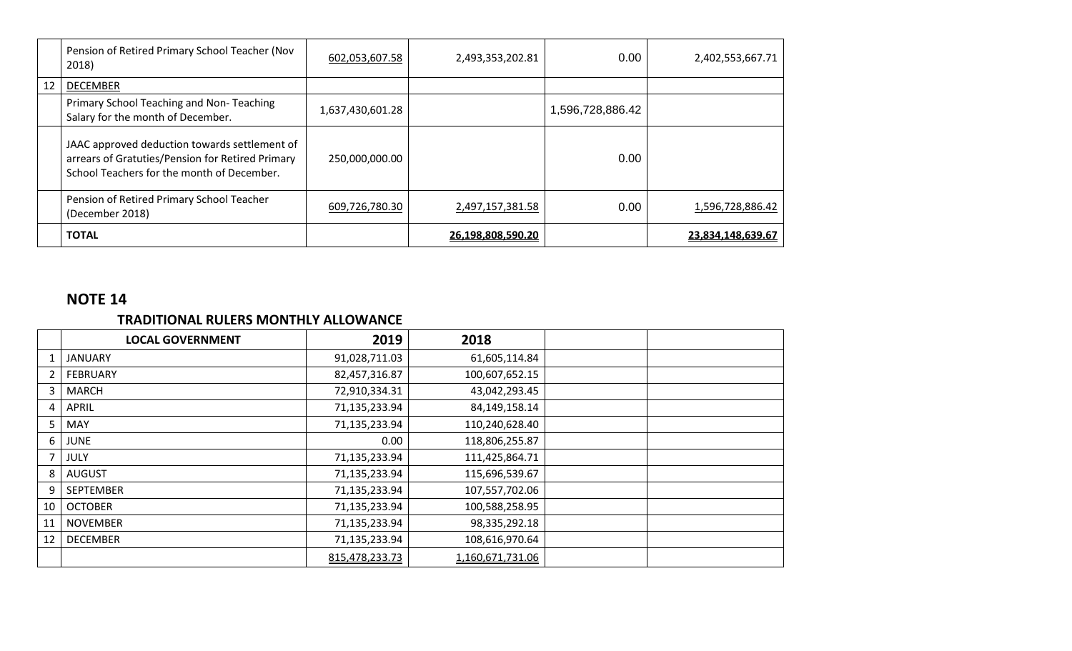|    | Pension of Retired Primary School Teacher (Nov<br>2018)                                                                                         | 602,053,607.58   | 2,493,353,202.81  | 0.00             | 2,402,553,667.71  |
|----|-------------------------------------------------------------------------------------------------------------------------------------------------|------------------|-------------------|------------------|-------------------|
| 12 | <b>DECEMBER</b>                                                                                                                                 |                  |                   |                  |                   |
|    | Primary School Teaching and Non-Teaching<br>Salary for the month of December.                                                                   | 1,637,430,601.28 |                   | 1,596,728,886.42 |                   |
|    | JAAC approved deduction towards settlement of<br>arrears of Gratuties/Pension for Retired Primary<br>School Teachers for the month of December. | 250,000,000.00   |                   | 0.00             |                   |
|    | Pension of Retired Primary School Teacher<br>(December 2018)                                                                                    | 609,726,780.30   | 2,497,157,381.58  | 0.00             | 1,596,728,886.42  |
|    | <b>TOTAL</b>                                                                                                                                    |                  | 26,198,808,590.20 |                  | 23,834,148,639.67 |

#### **TRADITIONAL RULERS MONTHLY ALLOWANCE**

|    | <b>LOCAL GOVERNMENT</b> | 2019           | 2018             |  |
|----|-------------------------|----------------|------------------|--|
|    | <b>JANUARY</b>          | 91,028,711.03  | 61,605,114.84    |  |
|    | <b>FEBRUARY</b>         | 82,457,316.87  | 100,607,652.15   |  |
| 3  | <b>MARCH</b>            | 72,910,334.31  | 43,042,293.45    |  |
| 4  | APRIL                   | 71,135,233.94  | 84,149,158.14    |  |
| 5  | MAY                     | 71,135,233.94  | 110,240,628.40   |  |
| 6  | <b>JUNE</b>             | 0.00           | 118,806,255.87   |  |
|    | JULY                    | 71,135,233.94  | 111,425,864.71   |  |
| 8  | AUGUST                  | 71,135,233.94  | 115,696,539.67   |  |
| 9  | <b>SEPTEMBER</b>        | 71,135,233.94  | 107,557,702.06   |  |
| 10 | <b>OCTOBER</b>          | 71,135,233.94  | 100,588,258.95   |  |
| 11 | <b>NOVEMBER</b>         | 71,135,233.94  | 98,335,292.18    |  |
| 12 | <b>DECEMBER</b>         | 71,135,233.94  | 108,616,970.64   |  |
|    |                         | 815,478,233.73 | 1,160,671,731.06 |  |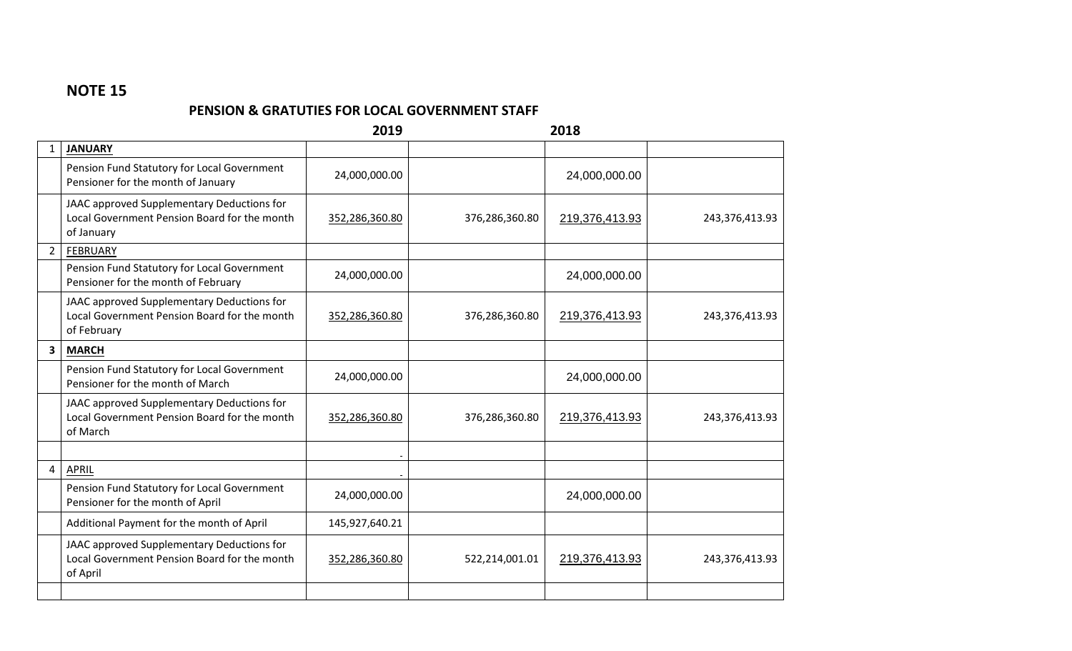#### **PENSION & GRATUTIES FOR LOCAL GOVERNMENT STAFF**

|   |                                                                                                           | 2019           |                | 2018           |                |
|---|-----------------------------------------------------------------------------------------------------------|----------------|----------------|----------------|----------------|
|   | <b>JANUARY</b>                                                                                            |                |                |                |                |
|   | Pension Fund Statutory for Local Government<br>Pensioner for the month of January                         | 24,000,000.00  |                | 24,000,000.00  |                |
|   | JAAC approved Supplementary Deductions for<br>Local Government Pension Board for the month<br>of January  | 352,286,360.80 | 376,286,360.80 | 219,376,413.93 | 243,376,413.93 |
| 2 | <b>FEBRUARY</b>                                                                                           |                |                |                |                |
|   | Pension Fund Statutory for Local Government<br>Pensioner for the month of February                        | 24,000,000.00  |                | 24,000,000.00  |                |
|   | JAAC approved Supplementary Deductions for<br>Local Government Pension Board for the month<br>of February | 352,286,360.80 | 376,286,360.80 | 219,376,413.93 | 243,376,413.93 |
| 3 | <b>MARCH</b>                                                                                              |                |                |                |                |
|   | Pension Fund Statutory for Local Government<br>Pensioner for the month of March                           | 24,000,000.00  |                | 24,000,000.00  |                |
|   | JAAC approved Supplementary Deductions for<br>Local Government Pension Board for the month<br>of March    | 352,286,360.80 | 376,286,360.80 | 219,376,413.93 | 243,376,413.93 |
|   |                                                                                                           |                |                |                |                |
| 4 | <b>APRIL</b>                                                                                              |                |                |                |                |
|   | Pension Fund Statutory for Local Government<br>Pensioner for the month of April                           | 24,000,000.00  |                | 24,000,000.00  |                |
|   | Additional Payment for the month of April                                                                 | 145,927,640.21 |                |                |                |
|   | JAAC approved Supplementary Deductions for<br>Local Government Pension Board for the month<br>of April    | 352,286,360.80 | 522,214,001.01 | 219,376,413.93 | 243,376,413.93 |
|   |                                                                                                           |                |                |                |                |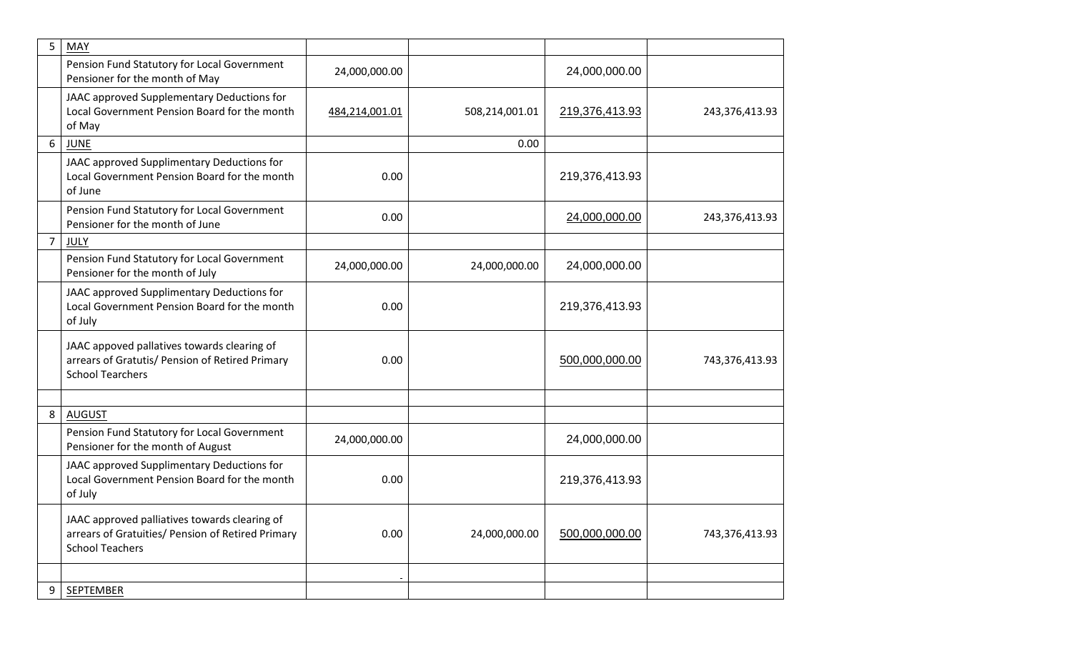| 5 | MAY                                                                                                                          |                |                |                |                |
|---|------------------------------------------------------------------------------------------------------------------------------|----------------|----------------|----------------|----------------|
|   | Pension Fund Statutory for Local Government<br>Pensioner for the month of May                                                | 24,000,000.00  |                | 24,000,000.00  |                |
|   | JAAC approved Supplementary Deductions for<br>Local Government Pension Board for the month<br>of May                         | 484,214,001.01 | 508,214,001.01 | 219,376,413.93 | 243,376,413.93 |
| 6 | <b>JUNE</b>                                                                                                                  |                | 0.00           |                |                |
|   | JAAC approved Supplimentary Deductions for<br>Local Government Pension Board for the month<br>of June                        | 0.00           |                | 219,376,413.93 |                |
|   | Pension Fund Statutory for Local Government<br>Pensioner for the month of June                                               | 0.00           |                | 24,000,000.00  | 243,376,413.93 |
| 7 | <b>JULY</b>                                                                                                                  |                |                |                |                |
|   | Pension Fund Statutory for Local Government<br>Pensioner for the month of July                                               | 24,000,000.00  | 24,000,000.00  | 24,000,000.00  |                |
|   | JAAC approved Supplimentary Deductions for<br>Local Government Pension Board for the month<br>of July                        | 0.00           |                | 219,376,413.93 |                |
|   | JAAC appoved pallatives towards clearing of<br>arrears of Gratutis/ Pension of Retired Primary<br><b>School Tearchers</b>    | 0.00           |                | 500,000,000.00 | 743,376,413.93 |
|   |                                                                                                                              |                |                |                |                |
| 8 | <b>AUGUST</b><br>Pension Fund Statutory for Local Government<br>Pensioner for the month of August                            | 24,000,000.00  |                | 24,000,000.00  |                |
|   | JAAC approved Supplimentary Deductions for<br>Local Government Pension Board for the month<br>of July                        | 0.00           |                | 219,376,413.93 |                |
|   | JAAC approved palliatives towards clearing of<br>arrears of Gratuities/ Pension of Retired Primary<br><b>School Teachers</b> | 0.00           | 24,000,000.00  | 500,000,000.00 | 743,376,413.93 |
|   |                                                                                                                              |                |                |                |                |
| 9 | <b>SEPTEMBER</b>                                                                                                             |                |                |                |                |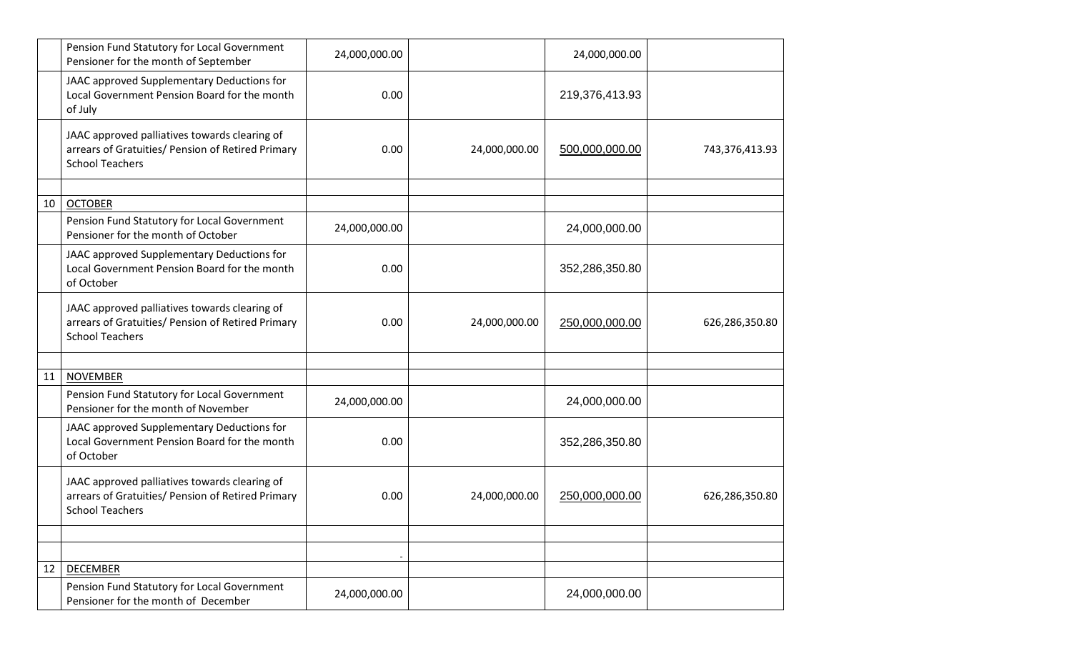|    | Pension Fund Statutory for Local Government<br>Pensioner for the month of September                                          | 24,000,000.00 |               | 24,000,000.00  |                |
|----|------------------------------------------------------------------------------------------------------------------------------|---------------|---------------|----------------|----------------|
|    | JAAC approved Supplementary Deductions for<br>Local Government Pension Board for the month<br>of July                        | 0.00          |               | 219,376,413.93 |                |
|    | JAAC approved palliatives towards clearing of<br>arrears of Gratuities/ Pension of Retired Primary<br><b>School Teachers</b> | 0.00          | 24,000,000.00 | 500,000,000.00 | 743,376,413.93 |
| 10 |                                                                                                                              |               |               |                |                |
|    | <b>OCTOBER</b><br>Pension Fund Statutory for Local Government<br>Pensioner for the month of October                          | 24,000,000.00 |               | 24,000,000.00  |                |
|    | JAAC approved Supplementary Deductions for<br>Local Government Pension Board for the month<br>of October                     | 0.00          |               | 352,286,350.80 |                |
|    | JAAC approved palliatives towards clearing of<br>arrears of Gratuities/ Pension of Retired Primary<br><b>School Teachers</b> | 0.00          | 24,000,000.00 | 250,000,000.00 | 626,286,350.80 |
|    |                                                                                                                              |               |               |                |                |
| 11 | <b>NOVEMBER</b>                                                                                                              |               |               |                |                |
|    | Pension Fund Statutory for Local Government<br>Pensioner for the month of November                                           | 24,000,000.00 |               | 24,000,000.00  |                |
|    | JAAC approved Supplementary Deductions for<br>Local Government Pension Board for the month<br>of October                     | 0.00          |               | 352,286,350.80 |                |
|    | JAAC approved palliatives towards clearing of<br>arrears of Gratuities/ Pension of Retired Primary<br><b>School Teachers</b> | 0.00          | 24,000,000.00 | 250,000,000.00 | 626,286,350.80 |
|    |                                                                                                                              |               |               |                |                |
|    |                                                                                                                              |               |               |                |                |
| 12 | <b>DECEMBER</b>                                                                                                              |               |               |                |                |
|    | Pension Fund Statutory for Local Government<br>Pensioner for the month of December                                           | 24,000,000.00 |               | 24,000,000.00  |                |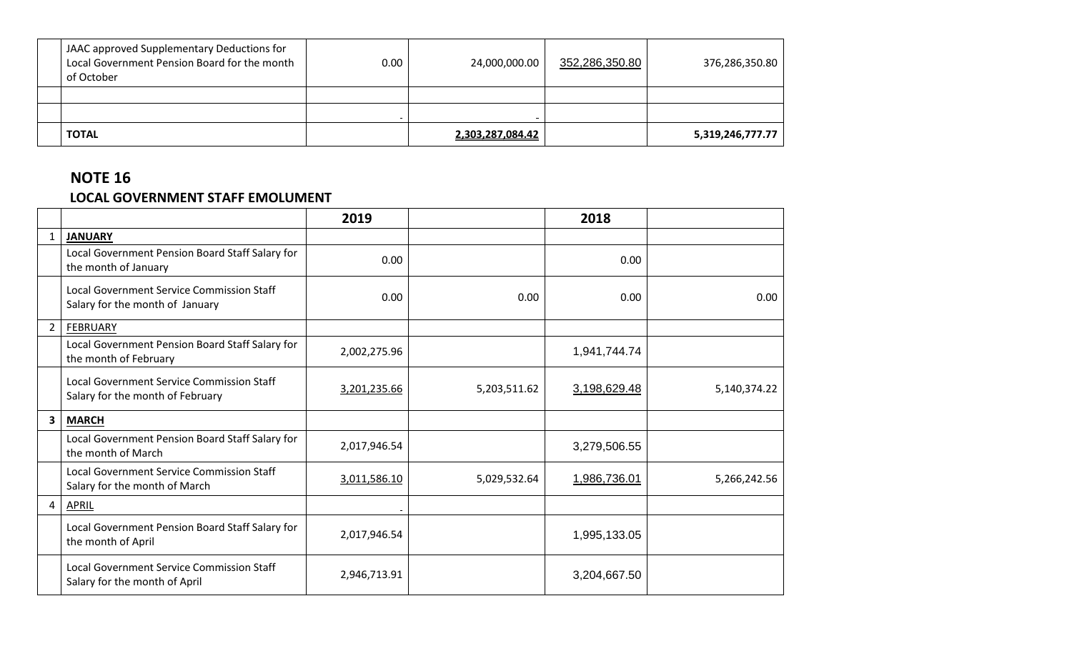| JAAC approved Supplementary Deductions for<br>Local Government Pension Board for the month<br>of October | $0.00\,$ | 24,000,000.00           | 352,286,350.80 | 376,286,350.80   |
|----------------------------------------------------------------------------------------------------------|----------|-------------------------|----------------|------------------|
|                                                                                                          |          |                         |                |                  |
|                                                                                                          |          |                         |                |                  |
| <b>TOTAL</b>                                                                                             |          | <u>2,303,287,084.42</u> |                | 5,319,246,777.77 |

#### **NOTE 16 LOCAL GOVERNMENT STAFF EMOLUMENT**

|                |                                                                                      | 2019         |              | 2018         |              |
|----------------|--------------------------------------------------------------------------------------|--------------|--------------|--------------|--------------|
| 1              | <b>JANUARY</b>                                                                       |              |              |              |              |
|                | Local Government Pension Board Staff Salary for<br>the month of January              | 0.00         |              | 0.00         |              |
|                | <b>Local Government Service Commission Staff</b><br>Salary for the month of January  | 0.00         | 0.00         | 0.00         | 0.00         |
| $\overline{2}$ | <b>FEBRUARY</b>                                                                      |              |              |              |              |
|                | Local Government Pension Board Staff Salary for<br>the month of February             | 2,002,275.96 |              | 1,941,744.74 |              |
|                | <b>Local Government Service Commission Staff</b><br>Salary for the month of February | 3,201,235.66 | 5,203,511.62 | 3,198,629.48 | 5,140,374.22 |
| 3              | <b>MARCH</b>                                                                         |              |              |              |              |
|                | Local Government Pension Board Staff Salary for<br>the month of March                | 2,017,946.54 |              | 3,279,506.55 |              |
|                | <b>Local Government Service Commission Staff</b><br>Salary for the month of March    | 3,011,586.10 | 5,029,532.64 | 1,986,736.01 | 5,266,242.56 |
| 4              | APRIL                                                                                |              |              |              |              |
|                | Local Government Pension Board Staff Salary for<br>the month of April                | 2,017,946.54 |              | 1,995,133.05 |              |
|                | <b>Local Government Service Commission Staff</b><br>Salary for the month of April    | 2,946,713.91 |              | 3,204,667.50 |              |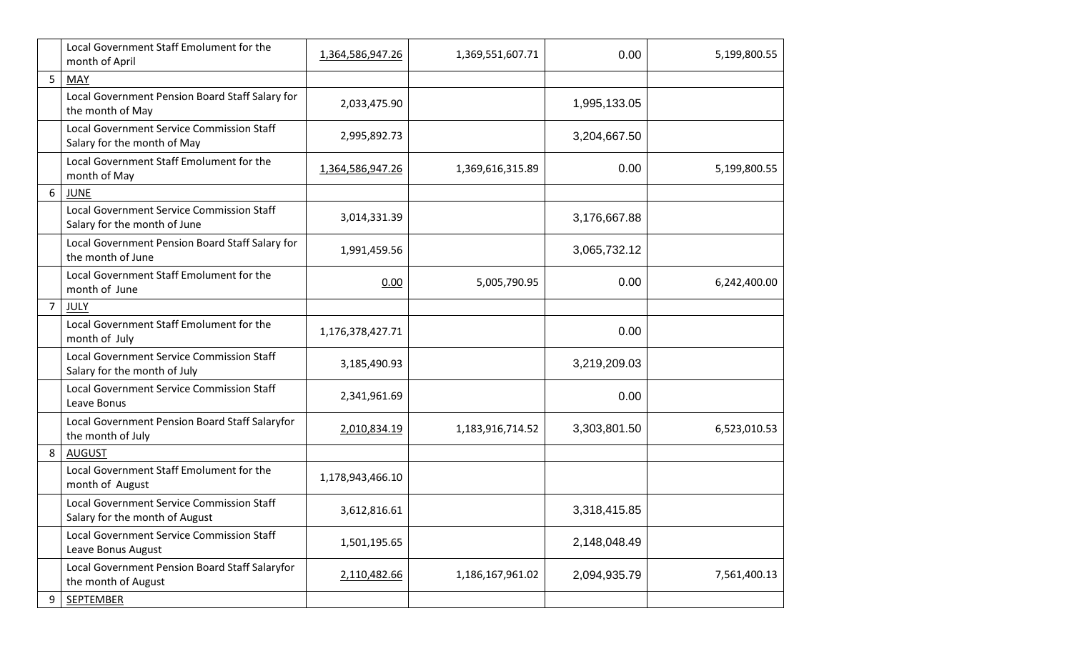|   | Local Government Staff Emolument for the<br>month of April                  | 1,364,586,947.26 | 1,369,551,607.71 | 0.00         | 5,199,800.55 |
|---|-----------------------------------------------------------------------------|------------------|------------------|--------------|--------------|
|   | MAY                                                                         |                  |                  |              |              |
|   | Local Government Pension Board Staff Salary for<br>the month of May         | 2,033,475.90     |                  | 1,995,133.05 |              |
|   | Local Government Service Commission Staff<br>Salary for the month of May    | 2,995,892.73     |                  | 3,204,667.50 |              |
|   | Local Government Staff Emolument for the<br>month of May                    | 1,364,586,947.26 | 1,369,616,315.89 | 0.00         | 5,199,800.55 |
| 6 | <b>JUNE</b>                                                                 |                  |                  |              |              |
|   | Local Government Service Commission Staff<br>Salary for the month of June   | 3,014,331.39     |                  | 3,176,667.88 |              |
|   | Local Government Pension Board Staff Salary for<br>the month of June        | 1,991,459.56     |                  | 3,065,732.12 |              |
|   | Local Government Staff Emolument for the<br>month of June                   | 0.00             | 5,005,790.95     | 0.00         | 6,242,400.00 |
| 7 | JULY                                                                        |                  |                  |              |              |
|   | Local Government Staff Emolument for the<br>month of July                   | 1,176,378,427.71 |                  | 0.00         |              |
|   | Local Government Service Commission Staff<br>Salary for the month of July   | 3,185,490.93     |                  | 3,219,209.03 |              |
|   | <b>Local Government Service Commission Staff</b><br>Leave Bonus             | 2,341,961.69     |                  | 0.00         |              |
|   | Local Government Pension Board Staff Salaryfor<br>the month of July         | 2,010,834.19     | 1,183,916,714.52 | 3,303,801.50 | 6,523,010.53 |
| 8 | <b>AUGUST</b>                                                               |                  |                  |              |              |
|   | Local Government Staff Emolument for the<br>month of August                 | 1,178,943,466.10 |                  |              |              |
|   | Local Government Service Commission Staff<br>Salary for the month of August | 3,612,816.61     |                  | 3,318,415.85 |              |
|   | Local Government Service Commission Staff<br>Leave Bonus August             | 1,501,195.65     |                  | 2,148,048.49 |              |
|   | Local Government Pension Board Staff Salaryfor<br>the month of August       | 2,110,482.66     | 1,186,167,961.02 | 2,094,935.79 | 7,561,400.13 |
| 9 | <b>SEPTEMBER</b>                                                            |                  |                  |              |              |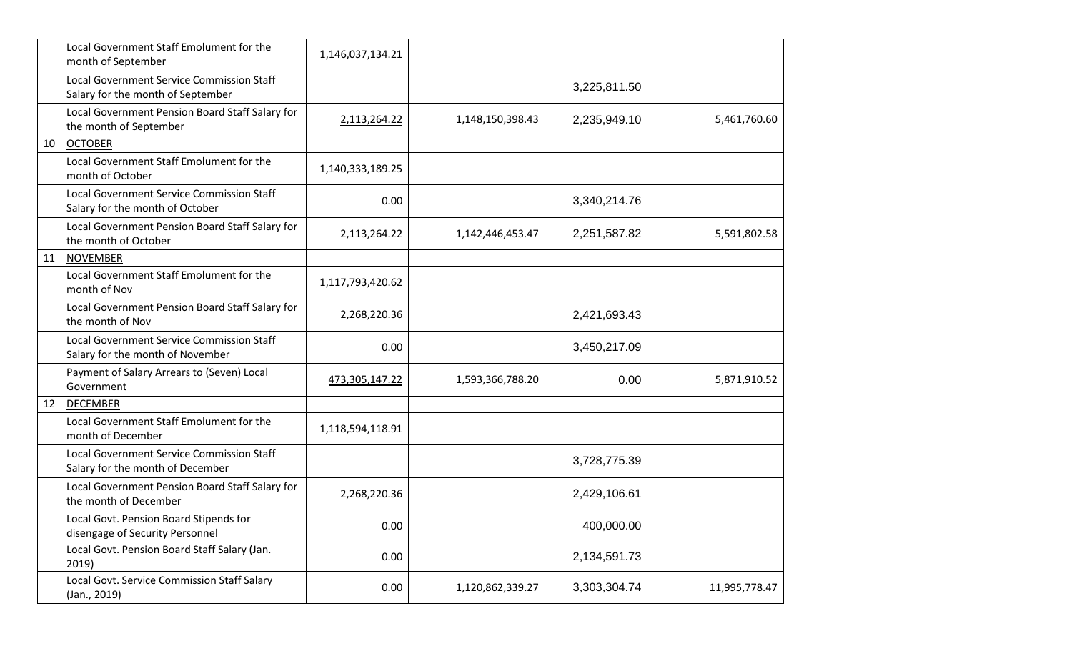|    | Local Government Staff Emolument for the<br>month of September                       | 1,146,037,134.21 |                  |              |               |
|----|--------------------------------------------------------------------------------------|------------------|------------------|--------------|---------------|
|    | Local Government Service Commission Staff<br>Salary for the month of September       |                  |                  | 3,225,811.50 |               |
|    | Local Government Pension Board Staff Salary for<br>the month of September            | 2,113,264.22     | 1,148,150,398.43 | 2,235,949.10 | 5,461,760.60  |
| 10 | <b>OCTOBER</b>                                                                       |                  |                  |              |               |
|    | Local Government Staff Emolument for the<br>month of October                         | 1,140,333,189.25 |                  |              |               |
|    | Local Government Service Commission Staff<br>Salary for the month of October         | 0.00             |                  | 3,340,214.76 |               |
|    | Local Government Pension Board Staff Salary for<br>the month of October              | 2,113,264.22     | 1,142,446,453.47 | 2,251,587.82 | 5,591,802.58  |
| 11 | <b>NOVEMBER</b>                                                                      |                  |                  |              |               |
|    | Local Government Staff Emolument for the<br>month of Nov                             | 1,117,793,420.62 |                  |              |               |
|    | Local Government Pension Board Staff Salary for<br>the month of Nov                  | 2,268,220.36     |                  | 2,421,693.43 |               |
|    | Local Government Service Commission Staff<br>Salary for the month of November        | 0.00             |                  | 3,450,217.09 |               |
|    | Payment of Salary Arrears to (Seven) Local<br>Government                             | 473,305,147.22   | 1,593,366,788.20 | 0.00         | 5,871,910.52  |
| 12 | <b>DECEMBER</b>                                                                      |                  |                  |              |               |
|    | Local Government Staff Emolument for the<br>month of December                        | 1,118,594,118.91 |                  |              |               |
|    | <b>Local Government Service Commission Staff</b><br>Salary for the month of December |                  |                  | 3,728,775.39 |               |
|    | Local Government Pension Board Staff Salary for<br>the month of December             | 2,268,220.36     |                  | 2,429,106.61 |               |
|    | Local Govt. Pension Board Stipends for<br>disengage of Security Personnel            | 0.00             |                  | 400,000.00   |               |
|    | Local Govt. Pension Board Staff Salary (Jan.<br>2019)                                | 0.00             |                  | 2,134,591.73 |               |
|    | Local Govt. Service Commission Staff Salary<br>(Jan., 2019)                          | 0.00             | 1,120,862,339.27 | 3,303,304.74 | 11,995,778.47 |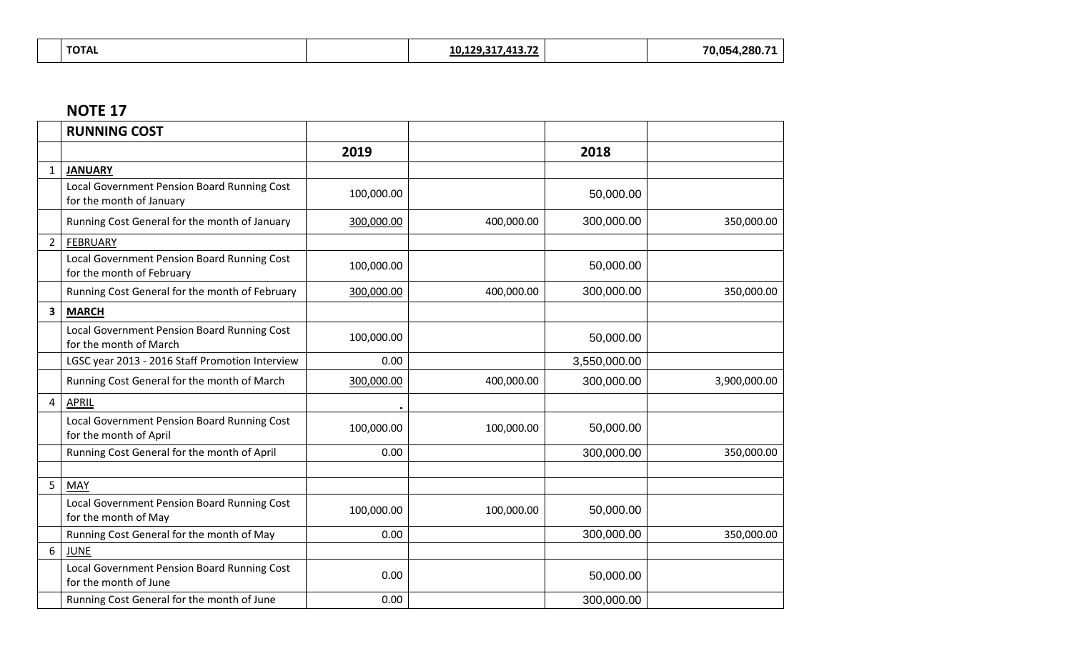| <b>TOTAL</b> | 10,129,317,413.72 | 70,054,280.71 |
|--------------|-------------------|---------------|
|              |                   |               |

|   | <b>RUNNING COST</b>                                                      |            |            |              |              |
|---|--------------------------------------------------------------------------|------------|------------|--------------|--------------|
|   |                                                                          | 2019       |            | 2018         |              |
|   | <b>JANUARY</b>                                                           |            |            |              |              |
|   | Local Government Pension Board Running Cost<br>for the month of January  | 100,000.00 |            | 50,000.00    |              |
|   | Running Cost General for the month of January                            | 300,000.00 | 400,000.00 | 300,000.00   | 350,000.00   |
| 2 | <b>FEBRUARY</b>                                                          |            |            |              |              |
|   | Local Government Pension Board Running Cost<br>for the month of February | 100,000.00 |            | 50,000.00    |              |
|   | Running Cost General for the month of February                           | 300,000.00 | 400,000.00 | 300,000.00   | 350,000.00   |
| 3 | <b>MARCH</b>                                                             |            |            |              |              |
|   | Local Government Pension Board Running Cost<br>for the month of March    | 100,000.00 |            | 50,000.00    |              |
|   | LGSC year 2013 - 2016 Staff Promotion Interview                          | 0.00       |            | 3,550,000.00 |              |
|   | Running Cost General for the month of March                              | 300,000.00 | 400,000.00 | 300,000.00   | 3,900,000.00 |
| 4 | APRIL                                                                    |            |            |              |              |
|   | Local Government Pension Board Running Cost<br>for the month of April    | 100,000.00 | 100,000.00 | 50,000.00    |              |
|   | Running Cost General for the month of April                              | 0.00       |            | 300,000.00   | 350,000.00   |
|   |                                                                          |            |            |              |              |
| 5 | <b>MAY</b>                                                               |            |            |              |              |
|   | Local Government Pension Board Running Cost<br>for the month of May      | 100,000.00 | 100,000.00 | 50,000.00    |              |
|   | Running Cost General for the month of May                                | 0.00       |            | 300,000.00   | 350,000.00   |
| 6 | <b>JUNE</b>                                                              |            |            |              |              |
|   | Local Government Pension Board Running Cost<br>for the month of June     | 0.00       |            | 50,000.00    |              |
|   | Running Cost General for the month of June                               | 0.00       |            | 300,000.00   |              |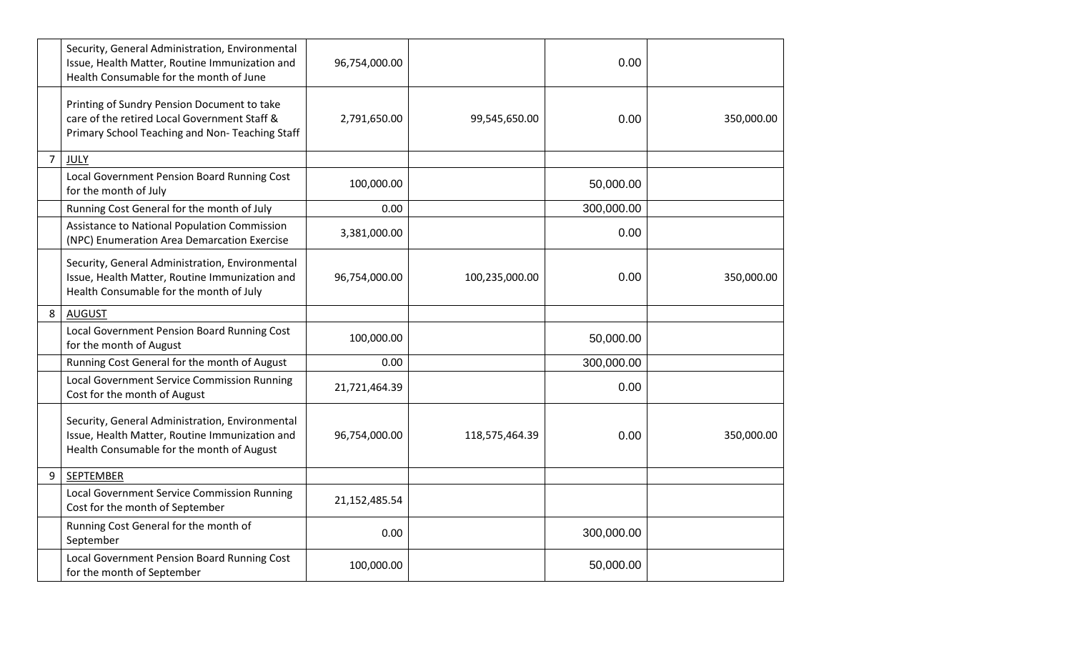|                | Security, General Administration, Environmental<br>Issue, Health Matter, Routine Immunization and<br>Health Consumable for the month of June   | 96,754,000.00 |                | 0.00       |            |
|----------------|------------------------------------------------------------------------------------------------------------------------------------------------|---------------|----------------|------------|------------|
|                | Printing of Sundry Pension Document to take<br>care of the retired Local Government Staff &<br>Primary School Teaching and Non- Teaching Staff | 2,791,650.00  | 99,545,650.00  | 0.00       | 350,000.00 |
| $\overline{7}$ | JULY                                                                                                                                           |               |                |            |            |
|                | Local Government Pension Board Running Cost<br>for the month of July                                                                           | 100,000.00    |                | 50,000.00  |            |
|                | Running Cost General for the month of July                                                                                                     | 0.00          |                | 300,000.00 |            |
|                | Assistance to National Population Commission<br>(NPC) Enumeration Area Demarcation Exercise                                                    | 3,381,000.00  |                | 0.00       |            |
|                | Security, General Administration, Environmental<br>Issue, Health Matter, Routine Immunization and<br>Health Consumable for the month of July   | 96,754,000.00 | 100,235,000.00 | 0.00       | 350,000.00 |
| 8              | <b>AUGUST</b>                                                                                                                                  |               |                |            |            |
|                | Local Government Pension Board Running Cost<br>for the month of August                                                                         | 100,000.00    |                | 50,000.00  |            |
|                | Running Cost General for the month of August                                                                                                   | 0.00          |                | 300,000.00 |            |
|                | <b>Local Government Service Commission Running</b><br>Cost for the month of August                                                             | 21,721,464.39 |                | 0.00       |            |
|                | Security, General Administration, Environmental<br>Issue, Health Matter, Routine Immunization and<br>Health Consumable for the month of August | 96,754,000.00 | 118,575,464.39 | 0.00       | 350,000.00 |
| 9              | <b>SEPTEMBER</b>                                                                                                                               |               |                |            |            |
|                | <b>Local Government Service Commission Running</b><br>Cost for the month of September                                                          | 21,152,485.54 |                |            |            |
|                | Running Cost General for the month of<br>September                                                                                             | 0.00          |                | 300,000.00 |            |
|                | Local Government Pension Board Running Cost<br>for the month of September                                                                      | 100,000.00    |                | 50,000.00  |            |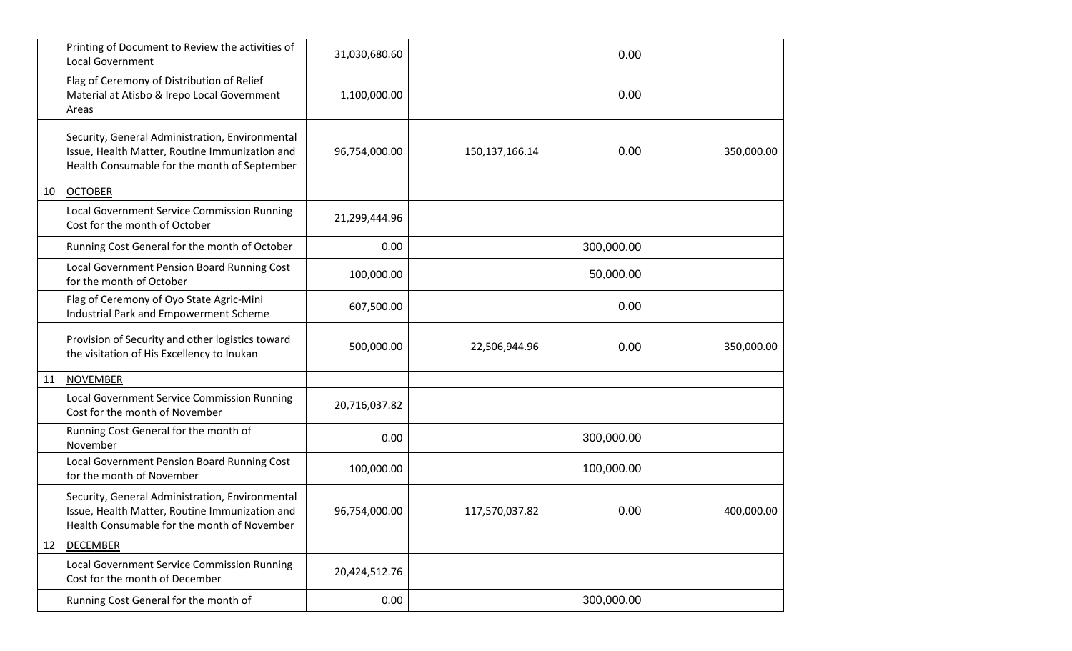|    | Printing of Document to Review the activities of<br><b>Local Government</b>                                                                       | 31,030,680.60 |                | 0.00       |            |
|----|---------------------------------------------------------------------------------------------------------------------------------------------------|---------------|----------------|------------|------------|
|    | Flag of Ceremony of Distribution of Relief<br>Material at Atisbo & Irepo Local Government<br>Areas                                                | 1,100,000.00  |                | 0.00       |            |
|    | Security, General Administration, Environmental<br>Issue, Health Matter, Routine Immunization and<br>Health Consumable for the month of September | 96,754,000.00 | 150,137,166.14 | 0.00       | 350,000.00 |
| 10 | <b>OCTOBER</b>                                                                                                                                    |               |                |            |            |
|    | Local Government Service Commission Running<br>Cost for the month of October                                                                      | 21,299,444.96 |                |            |            |
|    | Running Cost General for the month of October                                                                                                     | 0.00          |                | 300,000.00 |            |
|    | Local Government Pension Board Running Cost<br>for the month of October                                                                           | 100,000.00    |                | 50,000.00  |            |
|    | Flag of Ceremony of Oyo State Agric-Mini<br>Industrial Park and Empowerment Scheme                                                                | 607,500.00    |                | 0.00       |            |
|    | Provision of Security and other logistics toward<br>the visitation of His Excellency to Inukan                                                    | 500,000.00    | 22,506,944.96  | 0.00       | 350,000.00 |
| 11 | <b>NOVEMBER</b>                                                                                                                                   |               |                |            |            |
|    | Local Government Service Commission Running<br>Cost for the month of November                                                                     | 20,716,037.82 |                |            |            |
|    | Running Cost General for the month of<br>November                                                                                                 | 0.00          |                | 300,000.00 |            |
|    | Local Government Pension Board Running Cost<br>for the month of November                                                                          | 100,000.00    |                | 100,000.00 |            |
|    | Security, General Administration, Environmental<br>Issue, Health Matter, Routine Immunization and<br>Health Consumable for the month of November  | 96,754,000.00 | 117,570,037.82 | 0.00       | 400,000.00 |
| 12 | <b>DECEMBER</b>                                                                                                                                   |               |                |            |            |
|    | Local Government Service Commission Running<br>Cost for the month of December                                                                     | 20,424,512.76 |                |            |            |
|    | Running Cost General for the month of                                                                                                             | 0.00          |                | 300,000.00 |            |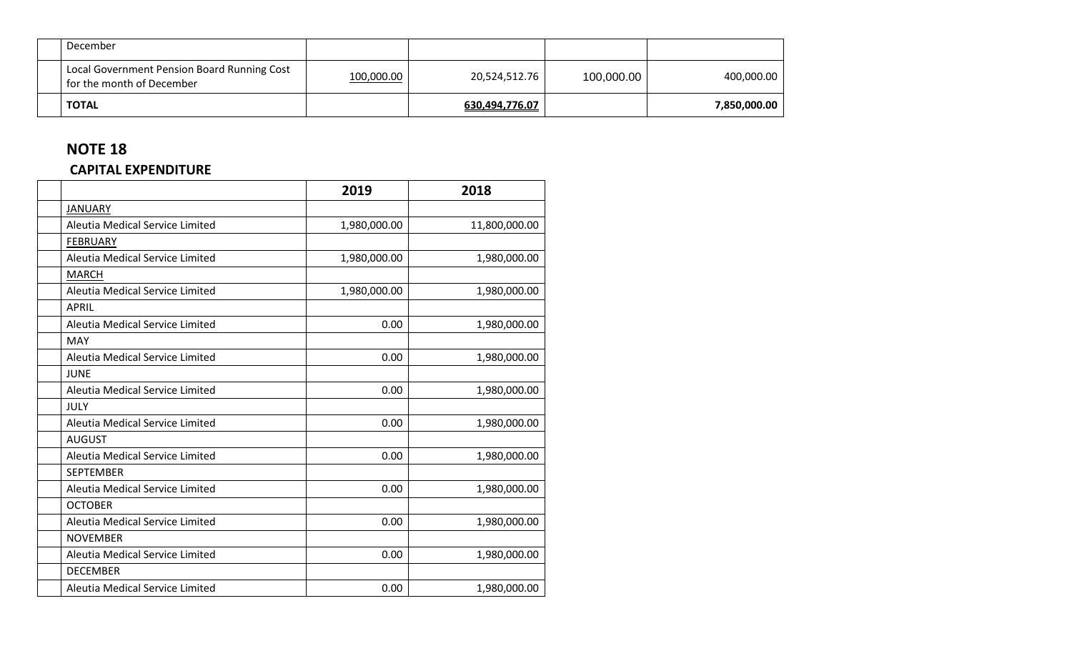| December                                                                 |            |                |            |              |
|--------------------------------------------------------------------------|------------|----------------|------------|--------------|
| Local Government Pension Board Running Cost<br>for the month of December | 100,000.00 | 20,524,512.76  | 100,000.00 | 400,000.00   |
| <b>TOTAL</b>                                                             |            | 630,494,776.07 |            | 7,850,000.00 |

#### **CAPITAL EXPENDITURE**

|                                 | 2019         | 2018          |
|---------------------------------|--------------|---------------|
| <b>JANUARY</b>                  |              |               |
| Aleutia Medical Service Limited | 1,980,000.00 | 11,800,000.00 |
| <b>FEBRUARY</b>                 |              |               |
| Aleutia Medical Service Limited | 1,980,000.00 | 1,980,000.00  |
| <b>MARCH</b>                    |              |               |
| Aleutia Medical Service Limited | 1,980,000.00 | 1,980,000.00  |
| <b>APRIL</b>                    |              |               |
| Aleutia Medical Service Limited | 0.00         | 1,980,000.00  |
| <b>MAY</b>                      |              |               |
| Aleutia Medical Service Limited | 0.00         | 1,980,000.00  |
| <b>JUNE</b>                     |              |               |
| Aleutia Medical Service Limited | 0.00         | 1,980,000.00  |
| JULY                            |              |               |
| Aleutia Medical Service Limited | 0.00         | 1,980,000.00  |
| <b>AUGUST</b>                   |              |               |
| Aleutia Medical Service Limited | 0.00         | 1,980,000.00  |
| <b>SEPTEMBER</b>                |              |               |
| Aleutia Medical Service Limited | 0.00         | 1,980,000.00  |
| <b>OCTOBER</b>                  |              |               |
| Aleutia Medical Service Limited | 0.00         | 1,980,000.00  |
| <b>NOVEMBER</b>                 |              |               |
| Aleutia Medical Service Limited | 0.00         | 1,980,000.00  |
| <b>DECEMBER</b>                 |              |               |
| Aleutia Medical Service Limited | 0.00         | 1,980,000.00  |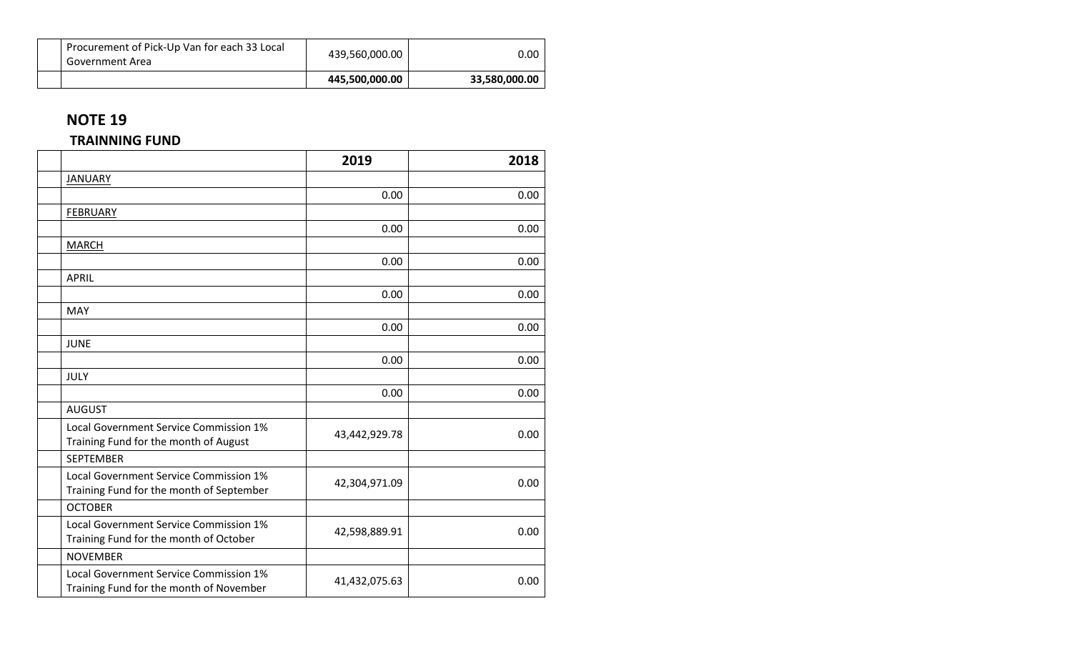|                                                                 | 445,500,000.00 | 33,580,000.00 |
|-----------------------------------------------------------------|----------------|---------------|
| Procurement of Pick-Up Van for each 33 Local<br>Government Area | 439,560,000.00 | 0.00          |

#### **TRAINNING FUND**

|                                                                                    | 2019          | 2018 |
|------------------------------------------------------------------------------------|---------------|------|
| <b>JANUARY</b>                                                                     |               |      |
|                                                                                    | 0.00          | 0.00 |
| <b>FEBRUARY</b>                                                                    |               |      |
|                                                                                    | 0.00          | 0.00 |
| <b>MARCH</b>                                                                       |               |      |
|                                                                                    | 0.00          | 0.00 |
| <b>APRIL</b>                                                                       |               |      |
|                                                                                    | 0.00          | 0.00 |
| <b>MAY</b>                                                                         |               |      |
|                                                                                    | 0.00          | 0.00 |
| <b>JUNE</b>                                                                        |               |      |
|                                                                                    | 0.00          | 0.00 |
| <b>JULY</b>                                                                        |               |      |
|                                                                                    | 0.00          | 0.00 |
| <b>AUGUST</b>                                                                      |               |      |
| Local Government Service Commission 1%<br>Training Fund for the month of August    | 43,442,929.78 | 0.00 |
| <b>SEPTEMBER</b>                                                                   |               |      |
| Local Government Service Commission 1%<br>Training Fund for the month of September | 42,304,971.09 | 0.00 |
| <b>OCTOBER</b>                                                                     |               |      |
| Local Government Service Commission 1%<br>Training Fund for the month of October   | 42,598,889.91 | 0.00 |
| <b>NOVEMBER</b>                                                                    |               |      |
| Local Government Service Commission 1%<br>Training Fund for the month of November  | 41,432,075.63 | 0.00 |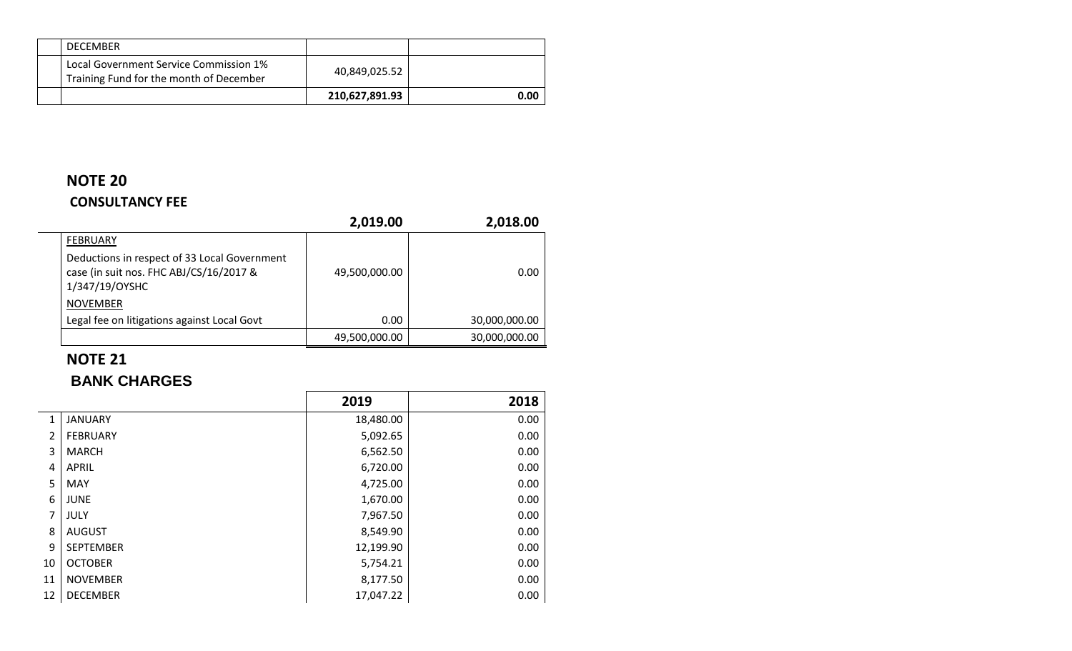| <b>DECEMBER</b>                                                                   |                |      |
|-----------------------------------------------------------------------------------|----------------|------|
| Local Government Service Commission 1%<br>Training Fund for the month of December | 40,849,025.52  |      |
|                                                                                   | 210,627,891.93 | 0.00 |

## **NOTE 20 CONSULTANCY FEE**

|                                                                                                           | 2,019.00      | 2,018.00      |
|-----------------------------------------------------------------------------------------------------------|---------------|---------------|
| FEBRUARY                                                                                                  |               |               |
| Deductions in respect of 33 Local Government<br>case (in suit nos. FHC ABJ/CS/16/2017 &<br>1/347/19/OYSHC | 49,500,000.00 | 0.00          |
| <b>NOVEMBER</b>                                                                                           |               |               |
| Legal fee on litigations against Local Govt                                                               | 0.00          | 30,000,000.00 |
|                                                                                                           | 49,500,000.00 | 30,000,000.00 |

# **NOTE 21**

 $\sim$ 

## **BANK CHARGES**

|    |                  | 2019      | 2018 |
|----|------------------|-----------|------|
| 1  | <b>JANUARY</b>   | 18,480.00 | 0.00 |
| 2  | <b>FEBRUARY</b>  | 5,092.65  | 0.00 |
| 3  | <b>MARCH</b>     | 6,562.50  | 0.00 |
| 4  | APRIL            | 6,720.00  | 0.00 |
| 5  | <b>MAY</b>       | 4,725.00  | 0.00 |
| 6  | <b>JUNE</b>      | 1,670.00  | 0.00 |
| 7  | JULY             | 7,967.50  | 0.00 |
| 8  | <b>AUGUST</b>    | 8,549.90  | 0.00 |
| 9  | <b>SEPTEMBER</b> | 12,199.90 | 0.00 |
| 10 | <b>OCTOBER</b>   | 5,754.21  | 0.00 |
| 11 | <b>NOVEMBER</b>  | 8,177.50  | 0.00 |
| 12 | <b>DECEMBER</b>  | 17,047.22 | 0.00 |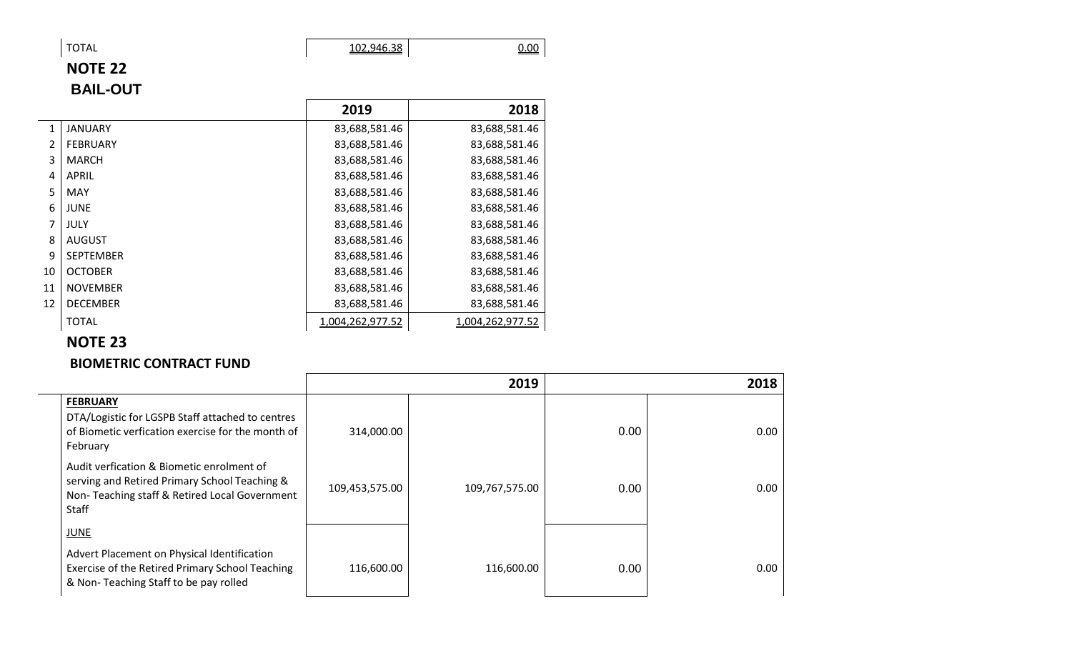TOTAL 102,946.38 2000

 $\sim$ 

# **NOTE 22 BAIL-OUT**

|               |                  | 2019             | 2018             |
|---------------|------------------|------------------|------------------|
| $\mathbf{1}$  | <b>JANUARY</b>   | 83,688,581.46    | 83,688,581.46    |
| $\mathcal{L}$ | <b>FEBRUARY</b>  | 83,688,581.46    | 83,688,581.46    |
| 3             | <b>MARCH</b>     | 83,688,581.46    | 83,688,581.46    |
| 4             | APRIL            | 83,688,581.46    | 83,688,581.46    |
| 5             | MAY              | 83,688,581.46    | 83,688,581.46    |
| 6             | <b>JUNE</b>      | 83,688,581.46    | 83,688,581.46    |
| 7             | JULY             | 83,688,581.46    | 83,688,581.46    |
| 8             | <b>AUGUST</b>    | 83,688,581.46    | 83,688,581.46    |
| 9             | <b>SEPTEMBER</b> | 83,688,581.46    | 83,688,581.46    |
| 10            | <b>OCTOBER</b>   | 83,688,581.46    | 83,688,581.46    |
| 11            | <b>NOVEMBER</b>  | 83,688,581.46    | 83,688,581.46    |
| 12            | <b>DECEMBER</b>  | 83,688,581.46    | 83,688,581.46    |
|               | <b>TOTAL</b>     | 1,004,262,977.52 | 1,004,262,977.52 |

## **NOTE 23**

#### **BIOMETRIC CONTRACT FUND**

|                                                                                                                                                      |                | 2019           |      | 2018 |
|------------------------------------------------------------------------------------------------------------------------------------------------------|----------------|----------------|------|------|
| <b>FEBRUARY</b><br>DTA/Logistic for LGSPB Staff attached to centres<br>of Biometic verfication exercise for the month of<br>February                 | 314,000.00     |                | 0.00 | 0.00 |
| Audit verfication & Biometic enrolment of<br>serving and Retired Primary School Teaching &<br>Non-Teaching staff & Retired Local Government<br>Staff | 109,453,575.00 | 109,767,575.00 | 0.00 | 0.00 |
| <b>JUNE</b><br>Advert Placement on Physical Identification<br>Exercise of the Retired Primary School Teaching                                        | 116,600.00     | 116,600.00     | 0.00 | 0.00 |
| & Non-Teaching Staff to be pay rolled                                                                                                                |                |                |      |      |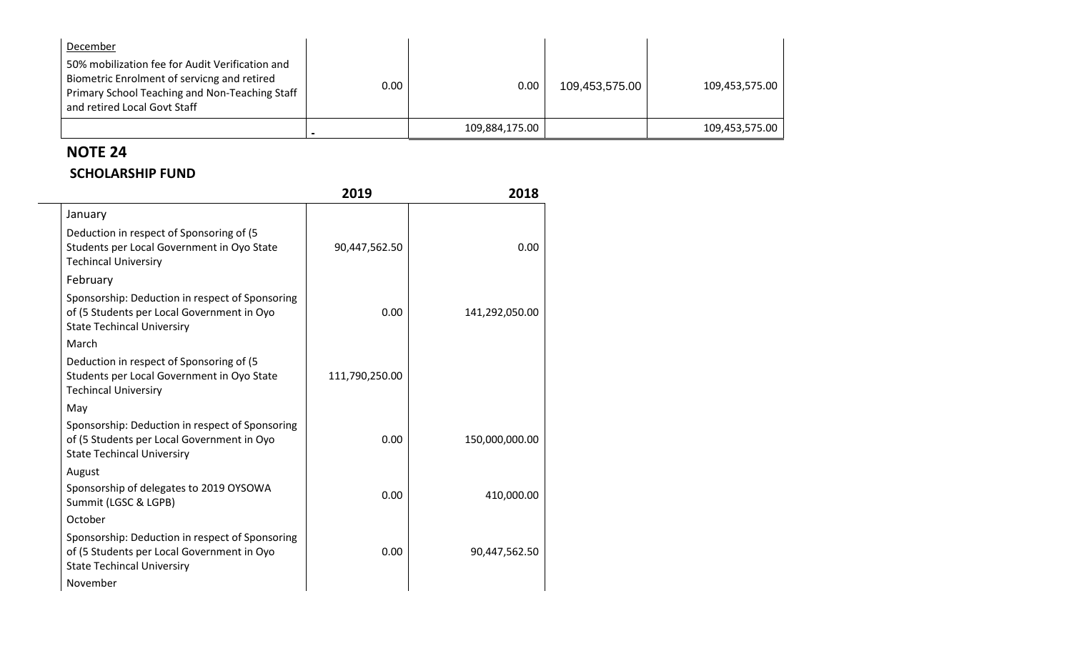| December<br>50% mobilization fee for Audit Verification and<br>Biometric Enrolment of servicng and retired<br>Primary School Teaching and Non-Teaching Staff | 0.00 | 0.00           | 109,453,575.00 | 109,453,575.00 |
|--------------------------------------------------------------------------------------------------------------------------------------------------------------|------|----------------|----------------|----------------|
| and retired Local Govt Staff                                                                                                                                 |      |                |                |                |
|                                                                                                                                                              |      | 109,884,175.00 |                | 109,453,575.00 |

 $\sim$ 

#### **SCHOLARSHIP FUND**

|                                                                                                                                    | 2019           | 2018           |
|------------------------------------------------------------------------------------------------------------------------------------|----------------|----------------|
| January                                                                                                                            |                |                |
| Deduction in respect of Sponsoring of (5)<br>Students per Local Government in Oyo State<br><b>Techincal Universiry</b>             | 90,447,562.50  | 0.00           |
| February                                                                                                                           |                |                |
| Sponsorship: Deduction in respect of Sponsoring<br>of (5 Students per Local Government in Oyo<br><b>State Techincal Universiry</b> | 0.00           | 141,292,050.00 |
| March                                                                                                                              |                |                |
| Deduction in respect of Sponsoring of (5)<br>Students per Local Government in Oyo State<br><b>Techincal Universiry</b>             | 111,790,250.00 |                |
| May                                                                                                                                |                |                |
| Sponsorship: Deduction in respect of Sponsoring<br>of (5 Students per Local Government in Oyo<br><b>State Techincal Universiry</b> | 0.00           | 150,000,000.00 |
| August                                                                                                                             |                |                |
| Sponsorship of delegates to 2019 OYSOWA<br>Summit (LGSC & LGPB)                                                                    | 0.00           | 410,000.00     |
| October                                                                                                                            |                |                |
| Sponsorship: Deduction in respect of Sponsoring<br>of (5 Students per Local Government in Oyo<br><b>State Techincal Universiry</b> | 0.00           | 90,447,562.50  |
| November                                                                                                                           |                |                |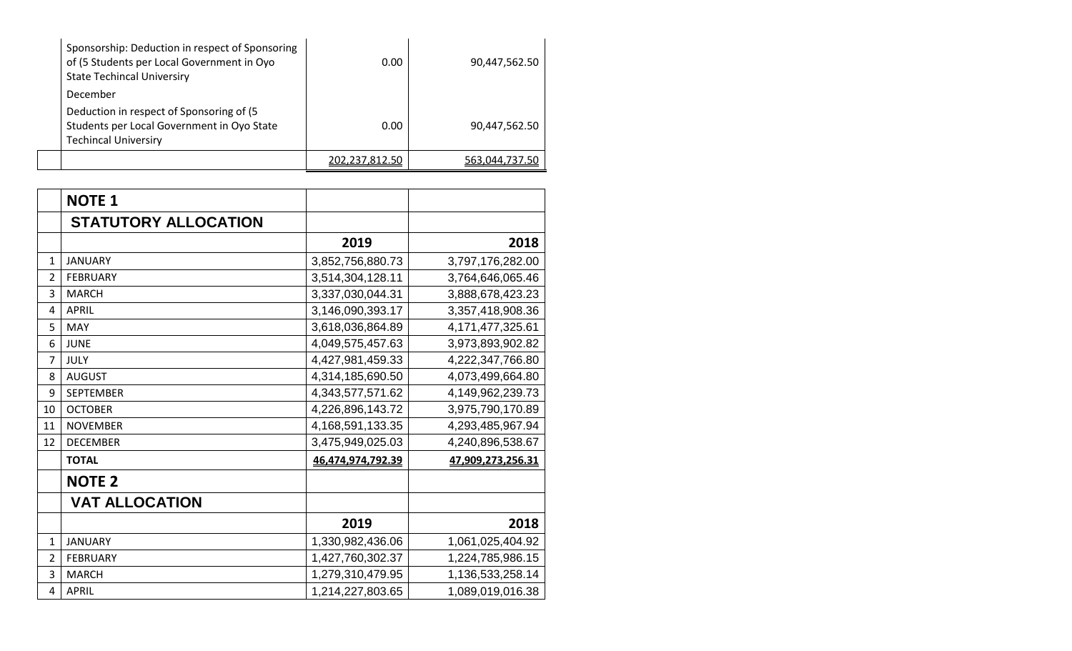| Sponsorship: Deduction in respect of Sponsoring<br>of (5 Students per Local Government in Oyo<br><b>State Techincal Universiry</b> | 0.00           | 90,447,562.50  |
|------------------------------------------------------------------------------------------------------------------------------------|----------------|----------------|
| December                                                                                                                           |                |                |
| Deduction in respect of Sponsoring of (5)<br>Students per Local Government in Oyo State<br><b>Techincal Universiry</b>             | 0.00           | 90,447,562.50  |
|                                                                                                                                    | 202,237,812.50 | 563,044,737.50 |

|                | <b>NOTE 1</b>               |                   |                   |
|----------------|-----------------------------|-------------------|-------------------|
|                | <b>STATUTORY ALLOCATION</b> |                   |                   |
|                |                             | 2019              | 2018              |
| 1              | <b>JANUARY</b>              | 3,852,756,880.73  | 3,797,176,282.00  |
| 2              | <b>FEBRUARY</b>             | 3,514,304,128.11  | 3,764,646,065.46  |
| 3              | <b>MARCH</b>                | 3,337,030,044.31  | 3,888,678,423.23  |
| 4              | <b>APRIL</b>                | 3,146,090,393.17  | 3,357,418,908.36  |
| 5              | <b>MAY</b>                  | 3,618,036,864.89  | 4,171,477,325.61  |
| 6              | <b>JUNE</b>                 | 4,049,575,457.63  | 3,973,893,902.82  |
| $\overline{7}$ | JULY                        | 4,427,981,459.33  | 4,222,347,766.80  |
| 8              | <b>AUGUST</b>               | 4,314,185,690.50  | 4,073,499,664.80  |
| 9              | <b>SEPTEMBER</b>            | 4,343,577,571.62  | 4,149,962,239.73  |
| 10             | <b>OCTOBER</b>              | 4,226,896,143.72  | 3,975,790,170.89  |
| 11             | <b>NOVEMBER</b>             | 4,168,591,133.35  | 4,293,485,967.94  |
| 12             | <b>DECEMBER</b>             | 3,475,949,025.03  | 4,240,896,538.67  |
|                | <b>TOTAL</b>                | 46,474,974,792.39 | 47,909,273,256.31 |
|                | <b>NOTE 2</b>               |                   |                   |
|                | <b>VAT ALLOCATION</b>       |                   |                   |
|                |                             | 2019              | 2018              |
| 1              | <b>JANUARY</b>              | 1,330,982,436.06  | 1,061,025,404.92  |
| $\overline{2}$ | <b>FEBRUARY</b>             | 1,427,760,302.37  | 1,224,785,986.15  |
| 3              | <b>MARCH</b>                | 1,279,310,479.95  | 1,136,533,258.14  |
| 4              | <b>APRIL</b>                | 1,214,227,803.65  | 1,089,019,016.38  |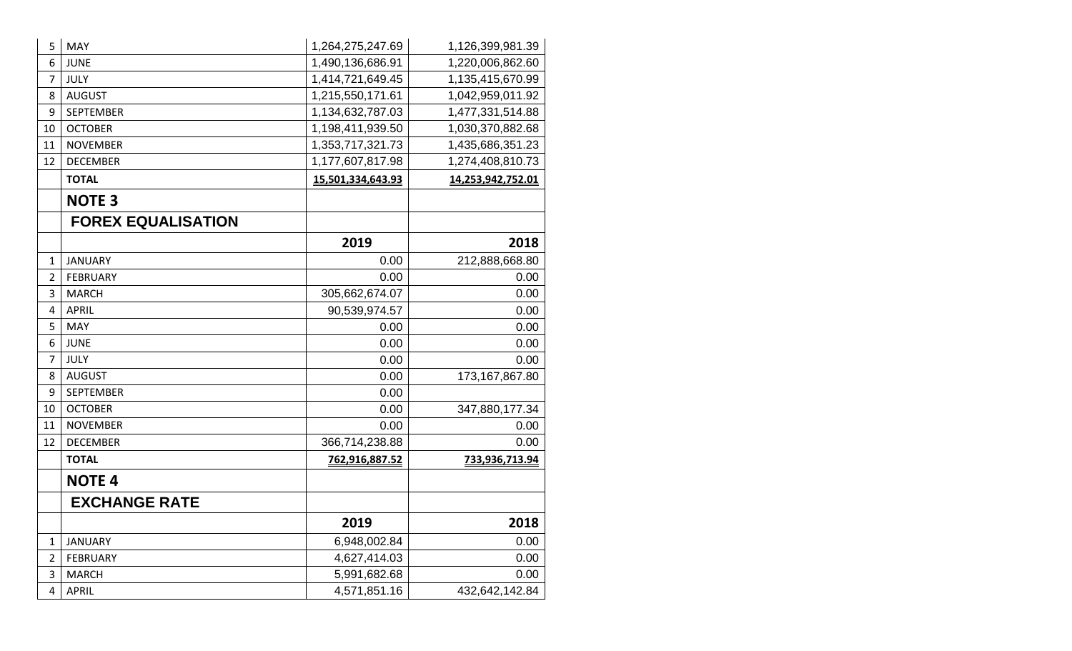| 5              | <b>MAY</b>                | 1,264,275,247.69  | 1,126,399,981.39  |
|----------------|---------------------------|-------------------|-------------------|
| 6              | <b>JUNE</b>               | 1,490,136,686.91  | 1,220,006,862.60  |
| 7              | JULY                      | 1,414,721,649.45  | 1,135,415,670.99  |
| 8              | <b>AUGUST</b>             | 1,215,550,171.61  | 1,042,959,011.92  |
| 9              | <b>SEPTEMBER</b>          | 1,134,632,787.03  | 1,477,331,514.88  |
| 10             | <b>OCTOBER</b>            | 1,198,411,939.50  | 1,030,370,882.68  |
| 11             | <b>NOVEMBER</b>           | 1,353,717,321.73  | 1,435,686,351.23  |
| 12             | <b>DECEMBER</b>           | 1,177,607,817.98  | 1,274,408,810.73  |
|                | <b>TOTAL</b>              | 15,501,334,643.93 | 14,253,942,752.01 |
|                | <b>NOTE 3</b>             |                   |                   |
|                | <b>FOREX EQUALISATION</b> |                   |                   |
|                |                           | 2019              | 2018              |
| $\mathbf{1}$   | <b>JANUARY</b>            | 0.00              | 212,888,668.80    |
| 2              | <b>FEBRUARY</b>           | 0.00              | 0.00              |
| 3              | <b>MARCH</b>              | 305,662,674.07    | 0.00              |
| 4              | <b>APRIL</b>              | 90,539,974.57     | 0.00              |
| 5              | <b>MAY</b>                | 0.00              | 0.00              |
| 6              | <b>JUNE</b>               | 0.00              | 0.00              |
| 7              | JULY                      | 0.00              | 0.00              |
| 8              | <b>AUGUST</b>             | 0.00              | 173, 167, 867.80  |
| 9              | <b>SEPTEMBER</b>          | 0.00              |                   |
| 10             | <b>OCTOBER</b>            | 0.00              | 347,880,177.34    |
| 11             | <b>NOVEMBER</b>           | 0.00              | 0.00              |
| 12             | <b>DECEMBER</b>           | 366,714,238.88    | 0.00              |
|                | <b>TOTAL</b>              | 762,916,887.52    | 733,936,713.94    |
|                | <b>NOTE 4</b>             |                   |                   |
|                | <b>EXCHANGE RATE</b>      |                   |                   |
|                |                           | 2019              | 2018              |
| $\mathbf 1$    | <b>JANUARY</b>            | 6,948,002.84      | 0.00              |
| $\overline{2}$ | <b>FEBRUARY</b>           | 4,627,414.03      | 0.00              |
| 3              | <b>MARCH</b>              | 5,991,682.68      | 0.00              |
| 4              | <b>APRIL</b>              | 4,571,851.16      | 432,642,142.84    |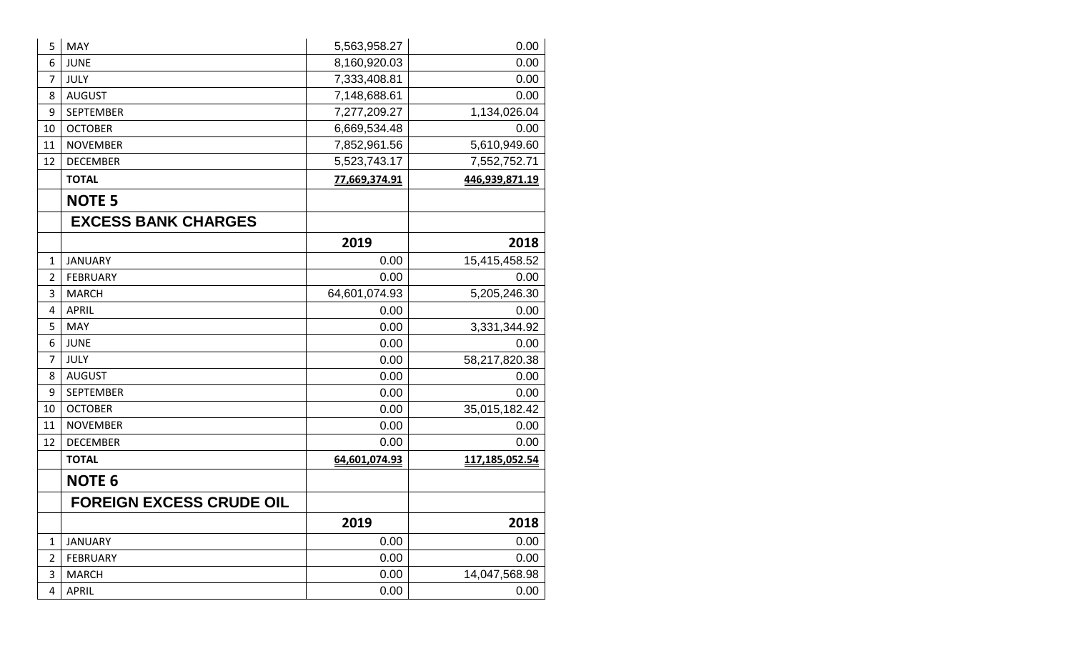| 5              | <b>MAY</b>                      | 5,563,958.27  | 0.00           |
|----------------|---------------------------------|---------------|----------------|
| 6              | <b>JUNE</b>                     | 8,160,920.03  | 0.00           |
| 7              | <b>JULY</b>                     | 7,333,408.81  | 0.00           |
| 8              | <b>AUGUST</b>                   | 7,148,688.61  | 0.00           |
| 9              | <b>SEPTEMBER</b>                | 7,277,209.27  | 1,134,026.04   |
| 10             | <b>OCTOBER</b>                  | 6,669,534.48  | 0.00           |
| 11             | <b>NOVEMBER</b>                 | 7,852,961.56  | 5,610,949.60   |
| 12             | <b>DECEMBER</b>                 | 5,523,743.17  | 7,552,752.71   |
|                | <b>TOTAL</b>                    | 77,669,374.91 | 446,939,871.19 |
|                | <b>NOTE 5</b>                   |               |                |
|                | <b>EXCESS BANK CHARGES</b>      |               |                |
|                |                                 | 2019          | 2018           |
| $\mathbf{1}$   | <b>JANUARY</b>                  | 0.00          | 15,415,458.52  |
| $\overline{2}$ | <b>FEBRUARY</b>                 | 0.00          | 0.00           |
| 3              | <b>MARCH</b>                    | 64,601,074.93 | 5,205,246.30   |
| 4              | <b>APRIL</b>                    | 0.00          | 0.00           |
| 5              | MAY                             | 0.00          | 3,331,344.92   |
| 6              | <b>JUNE</b>                     | 0.00          | 0.00           |
| 7              | <b>JULY</b>                     | 0.00          | 58,217,820.38  |
| 8              | <b>AUGUST</b>                   | 0.00          | 0.00           |
| 9              | <b>SEPTEMBER</b>                | 0.00          | 0.00           |
| 10             | <b>OCTOBER</b>                  | 0.00          | 35,015,182.42  |
| 11             | <b>NOVEMBER</b>                 | 0.00          | 0.00           |
| 12             | <b>DECEMBER</b>                 | 0.00          | 0.00           |
|                | <b>TOTAL</b>                    | 64,601,074.93 | 117,185,052.54 |
|                | <b>NOTE 6</b>                   |               |                |
|                | <b>FOREIGN EXCESS CRUDE OIL</b> |               |                |
|                |                                 | 2019          | 2018           |
| $\mathbf{1}$   | <b>JANUARY</b>                  | 0.00          | 0.00           |
| 2              | <b>FEBRUARY</b>                 | 0.00          | 0.00           |
| 3              | <b>MARCH</b>                    | 0.00          | 14,047,568.98  |
| 4              | APRIL                           | 0.00          | 0.00           |
|                |                                 |               |                |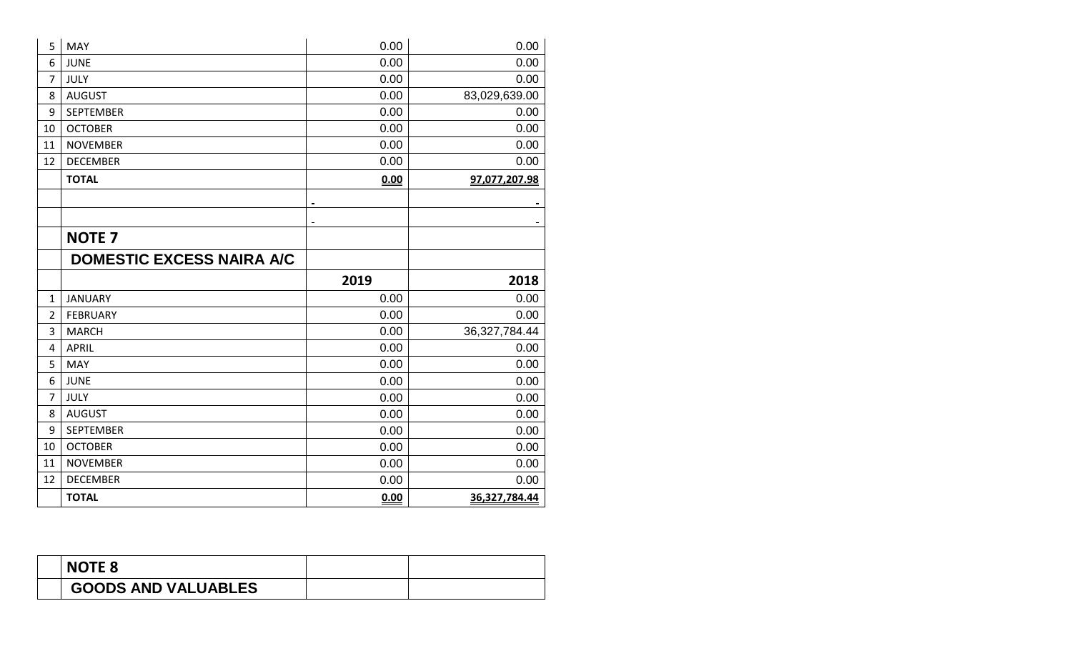| 5              | <b>MAY</b>                       | 0.00 | 0.00             |
|----------------|----------------------------------|------|------------------|
| 6              | <b>JUNE</b>                      | 0.00 | 0.00             |
| $\overline{7}$ | <b>JULY</b>                      | 0.00 | 0.00             |
| 8              | <b>AUGUST</b>                    | 0.00 | 83,029,639.00    |
| 9              | <b>SEPTEMBER</b>                 | 0.00 | 0.00             |
| 10             | <b>OCTOBER</b>                   | 0.00 | 0.00             |
| 11             | <b>NOVEMBER</b>                  | 0.00 | 0.00             |
| 12             | <b>DECEMBER</b>                  | 0.00 | 0.00             |
|                | <b>TOTAL</b>                     | 0.00 | 97,077,207.98    |
|                |                                  |      |                  |
|                |                                  |      |                  |
|                | <b>NOTE 7</b>                    |      |                  |
|                | <b>DOMESTIC EXCESS NAIRA A/C</b> |      |                  |
|                |                                  | 2019 | 2018             |
| $\mathbf{1}$   | <b>JANUARY</b>                   | 0.00 | 0.00             |
| $\overline{2}$ | <b>FEBRUARY</b>                  | 0.00 | 0.00             |
| 3              |                                  |      |                  |
|                | <b>MARCH</b>                     | 0.00 | 36, 327, 784. 44 |
| 4              | <b>APRIL</b>                     | 0.00 | 0.00             |
| 5              | MAY                              | 0.00 | 0.00             |
| 6              | <b>JUNE</b>                      | 0.00 | 0.00             |
| $\overline{7}$ | <b>JULY</b>                      | 0.00 | 0.00             |
| 8              | <b>AUGUST</b>                    | 0.00 | 0.00             |
| 9              | <b>SEPTEMBER</b>                 | 0.00 | 0.00             |
| 10             | <b>OCTOBER</b>                   | 0.00 | 0.00             |
| 11             | <b>NOVEMBER</b>                  | 0.00 | 0.00             |
| 12             | <b>DECEMBER</b>                  | 0.00 | 0.00             |
|                | <b>TOTAL</b>                     | 0.00 | 36,327,784.44    |

| <b>NOTE 8</b>              |  |
|----------------------------|--|
| <b>GOODS AND VALUABLES</b> |  |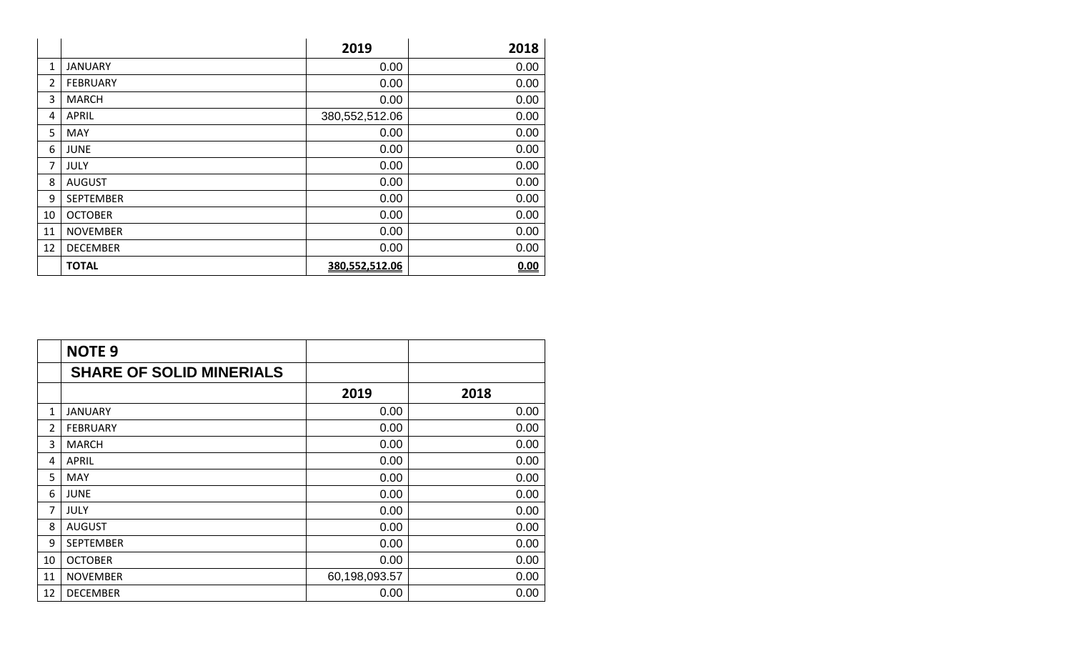|              |                  | 2019           | 2018 |
|--------------|------------------|----------------|------|
| $\mathbf{1}$ | <b>JANUARY</b>   | 0.00           | 0.00 |
| 2            | <b>FEBRUARY</b>  | 0.00           | 0.00 |
| 3            | <b>MARCH</b>     | 0.00           | 0.00 |
| 4            | <b>APRIL</b>     | 380,552,512.06 | 0.00 |
| 5            | <b>MAY</b>       | 0.00           | 0.00 |
| 6            | <b>JUNE</b>      | 0.00           | 0.00 |
| 7            | JULY             | 0.00           | 0.00 |
| 8            | <b>AUGUST</b>    | 0.00           | 0.00 |
| 9            | <b>SEPTEMBER</b> | 0.00           | 0.00 |
| 10           | <b>OCTOBER</b>   | 0.00           | 0.00 |
| 11           | <b>NOVEMBER</b>  | 0.00           | 0.00 |
| 12           | <b>DECEMBER</b>  | 0.00           | 0.00 |
|              | <b>TOTAL</b>     | 380,552,512.06 | 0.00 |

|    | <b>NOTE 9</b>                   |               |      |
|----|---------------------------------|---------------|------|
|    | <b>SHARE OF SOLID MINERIALS</b> |               |      |
|    |                                 | 2019          | 2018 |
| 1  | <b>JANUARY</b>                  | 0.00          | 0.00 |
| 2  | <b>FEBRUARY</b>                 | 0.00          | 0.00 |
| 3  | <b>MARCH</b>                    | 0.00          | 0.00 |
| 4  | <b>APRIL</b>                    | 0.00          | 0.00 |
| 5  | MAY                             | 0.00          | 0.00 |
| 6  | <b>JUNE</b>                     | 0.00          | 0.00 |
| 7  | <b>JULY</b>                     | 0.00          | 0.00 |
| 8  | <b>AUGUST</b>                   | 0.00          | 0.00 |
| 9  | <b>SEPTEMBER</b>                | 0.00          | 0.00 |
| 10 | <b>OCTOBER</b>                  | 0.00          | 0.00 |
| 11 | <b>NOVEMBER</b>                 | 60,198,093.57 | 0.00 |
| 12 | <b>DECEMBER</b>                 | 0.00          | 0.00 |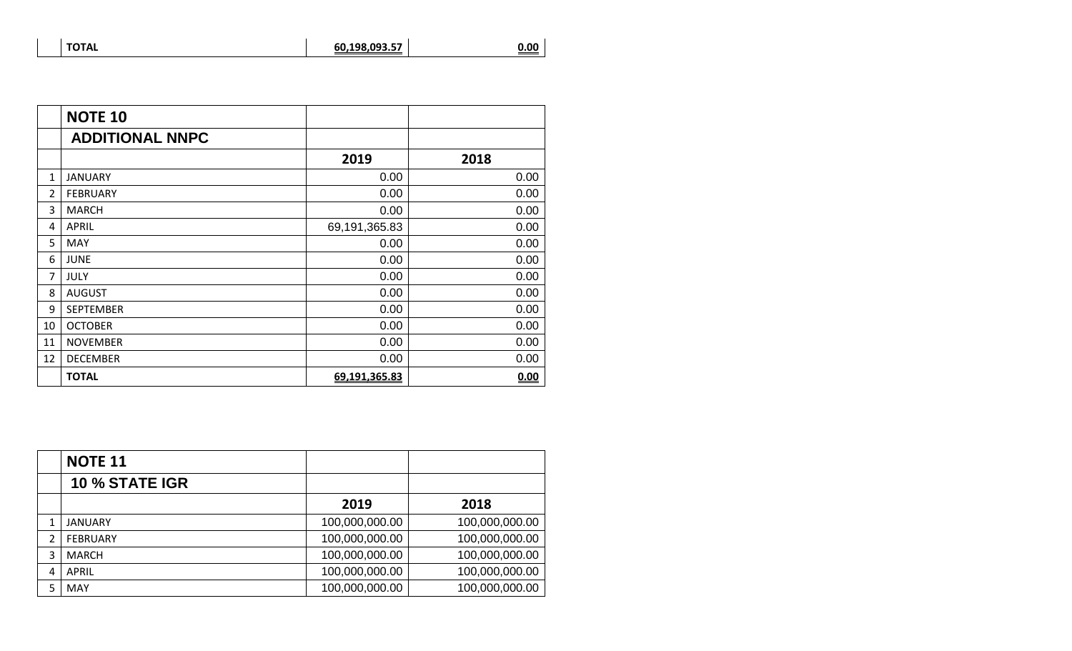| <b>TOTAL</b> | 60,198,093.57 | <u>0.00</u> |
|--------------|---------------|-------------|
|              |               |             |

|    | <b>NOTE 10</b>         |               |      |
|----|------------------------|---------------|------|
|    | <b>ADDITIONAL NNPC</b> |               |      |
|    |                        | 2019          | 2018 |
| 1  | <b>JANUARY</b>         | 0.00          | 0.00 |
| 2  | <b>FEBRUARY</b>        | 0.00          | 0.00 |
| 3  | <b>MARCH</b>           | 0.00          | 0.00 |
| 4  | <b>APRIL</b>           | 69,191,365.83 | 0.00 |
| 5  | MAY                    | 0.00          | 0.00 |
| 6  | <b>JUNE</b>            | 0.00          | 0.00 |
| 7  | <b>JULY</b>            | 0.00          | 0.00 |
| 8  | <b>AUGUST</b>          | 0.00          | 0.00 |
| 9  | <b>SEPTEMBER</b>       | 0.00          | 0.00 |
| 10 | <b>OCTOBER</b>         | 0.00          | 0.00 |
| 11 | <b>NOVEMBER</b>        | 0.00          | 0.00 |
| 12 | <b>DECEMBER</b>        | 0.00          | 0.00 |
|    | <b>TOTAL</b>           | 69,191,365.83 | 0.00 |

|   | <b>NOTE 11</b>        |                |                |
|---|-----------------------|----------------|----------------|
|   | <b>10 % STATE IGR</b> |                |                |
|   |                       | 2019           | 2018           |
|   | JANUARY               | 100,000,000.00 | 100,000,000.00 |
| 2 | <b>FEBRUARY</b>       | 100,000,000.00 | 100,000,000.00 |
| 3 | <b>MARCH</b>          | 100,000,000.00 | 100,000,000.00 |
| 4 | <b>APRIL</b>          | 100,000,000.00 | 100,000,000.00 |
| 5 | <b>MAY</b>            | 100,000,000.00 | 100,000,000.00 |